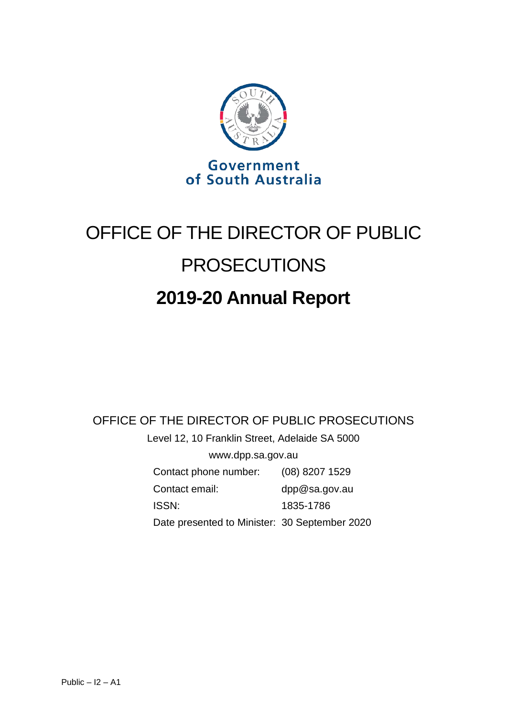

# OFFICE OF THE DIRECTOR OF PUBLIC PROSECUTIONS **2019-20 Annual Report**

### OFFICE OF THE DIRECTOR OF PUBLIC PROSECUTIONS

Level 12, 10 Franklin Street, Adelaide SA 5000 www.dpp.sa.gov.au

| Contact phone number:                         | $(08)$ 8207 1529 |
|-----------------------------------------------|------------------|
| Contact email:                                | dpp@sa.gov.au    |
| <b>ISSN:</b>                                  | 1835-1786        |
| Date presented to Minister: 30 September 2020 |                  |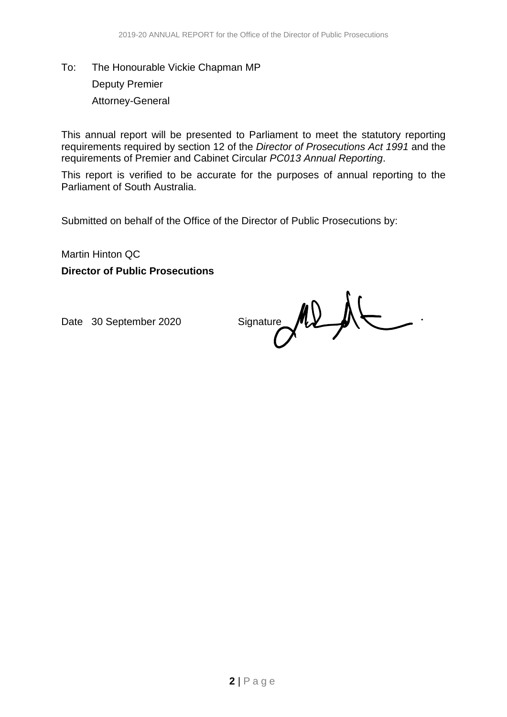## To: The Honourable Vickie Chapman MP Deputy Premier Attorney-General

This annual report will be presented to Parliament to meet the statutory reporting requirements required by section 12 of the *Director of Prosecutions Act 1991* and the requirements of Premier and Cabinet Circular *PC013 Annual Reporting*.

This report is verified to be accurate for the purposes of annual reporting to the Parliament of South Australia.

Submitted on behalf of the Office of the Director of Public Prosecutions by:

Martin Hinton QC

**Director of Public Prosecutions**

Date 30 September 2020 Signature MD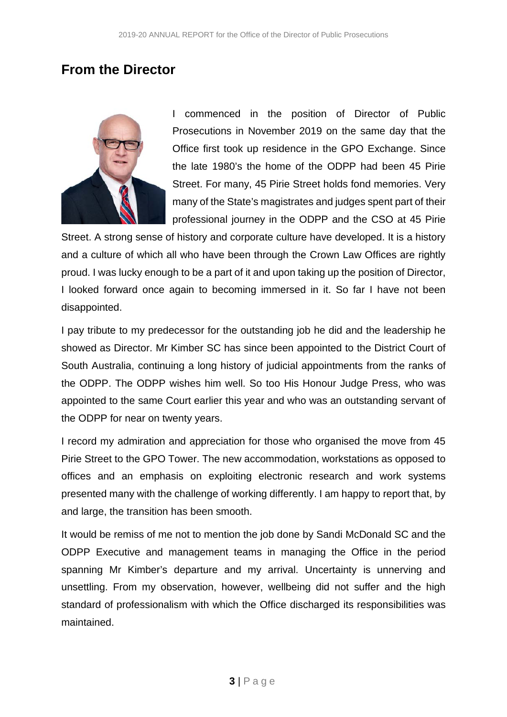### **From the Director**



I commenced in the position of Director of Public Prosecutions in November 2019 on the same day that the Office first took up residence in the GPO Exchange. Since the late 1980's the home of the ODPP had been 45 Pirie Street. For many, 45 Pirie Street holds fond memories. Very many of the State's magistrates and judges spent part of their professional journey in the ODPP and the CSO at 45 Pirie

Street. A strong sense of history and corporate culture have developed. It is a history and a culture of which all who have been through the Crown Law Offices are rightly proud. I was lucky enough to be a part of it and upon taking up the position of Director, I looked forward once again to becoming immersed in it. So far I have not been disappointed.

I pay tribute to my predecessor for the outstanding job he did and the leadership he showed as Director. Mr Kimber SC has since been appointed to the District Court of South Australia, continuing a long history of judicial appointments from the ranks of the ODPP. The ODPP wishes him well. So too His Honour Judge Press, who was appointed to the same Court earlier this year and who was an outstanding servant of the ODPP for near on twenty years.

I record my admiration and appreciation for those who organised the move from 45 Pirie Street to the GPO Tower. The new accommodation, workstations as opposed to offices and an emphasis on exploiting electronic research and work systems presented many with the challenge of working differently. I am happy to report that, by and large, the transition has been smooth.

It would be remiss of me not to mention the job done by Sandi McDonald SC and the ODPP Executive and management teams in managing the Office in the period spanning Mr Kimber's departure and my arrival. Uncertainty is unnerving and unsettling. From my observation, however, wellbeing did not suffer and the high standard of professionalism with which the Office discharged its responsibilities was maintained.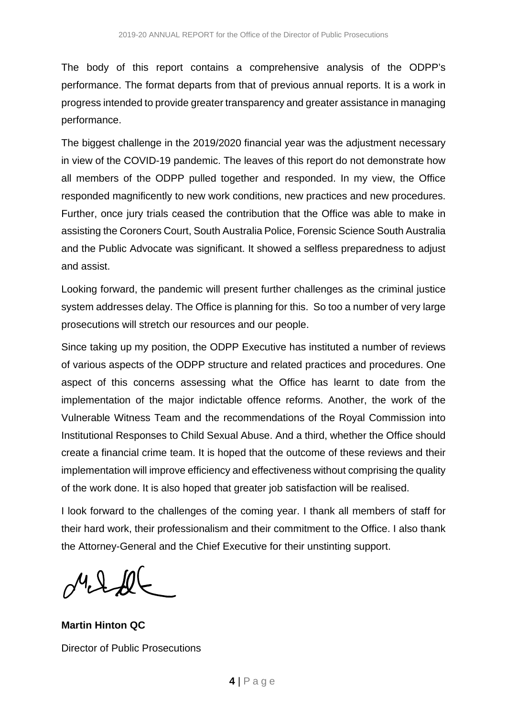The body of this report contains a comprehensive analysis of the ODPP's performance. The format departs from that of previous annual reports. It is a work in progress intended to provide greater transparency and greater assistance in managing performance.

The biggest challenge in the 2019/2020 financial year was the adjustment necessary in view of the COVID-19 pandemic. The leaves of this report do not demonstrate how all members of the ODPP pulled together and responded. In my view, the Office responded magnificently to new work conditions, new practices and new procedures. Further, once jury trials ceased the contribution that the Office was able to make in assisting the Coroners Court, South Australia Police, Forensic Science South Australia and the Public Advocate was significant. It showed a selfless preparedness to adjust and assist.

Looking forward, the pandemic will present further challenges as the criminal justice system addresses delay. The Office is planning for this. So too a number of very large prosecutions will stretch our resources and our people.

Since taking up my position, the ODPP Executive has instituted a number of reviews of various aspects of the ODPP structure and related practices and procedures. One aspect of this concerns assessing what the Office has learnt to date from the implementation of the major indictable offence reforms. Another, the work of the Vulnerable Witness Team and the recommendations of the Royal Commission into Institutional Responses to Child Sexual Abuse. And a third, whether the Office should create a financial crime team. It is hoped that the outcome of these reviews and their implementation will improve efficiency and effectiveness without comprising the quality of the work done. It is also hoped that greater job satisfaction will be realised.

I look forward to the challenges of the coming year. I thank all members of staff for their hard work, their professionalism and their commitment to the Office. I also thank the Attorney-General and the Chief Executive for their unstinting support.

 $M L R$ 

**Martin Hinton QC** Director of Public Prosecutions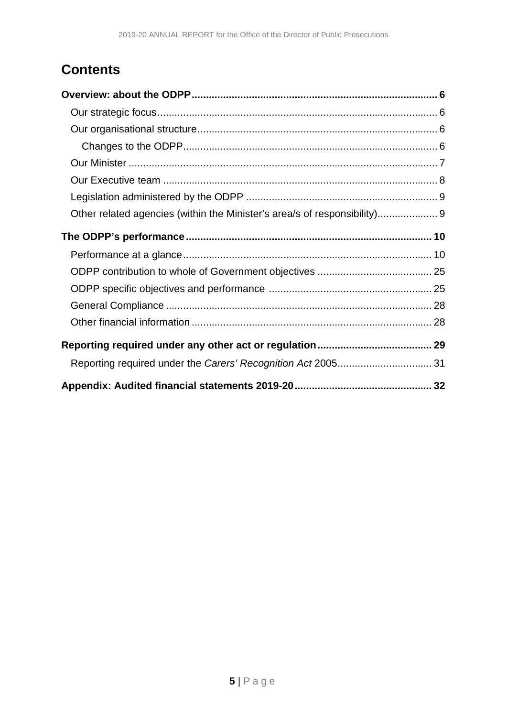# **Contents**

| Other related agencies (within the Minister's area/s of responsibility) 9 |  |
|---------------------------------------------------------------------------|--|
|                                                                           |  |
|                                                                           |  |
|                                                                           |  |
|                                                                           |  |
|                                                                           |  |
|                                                                           |  |
|                                                                           |  |
|                                                                           |  |
|                                                                           |  |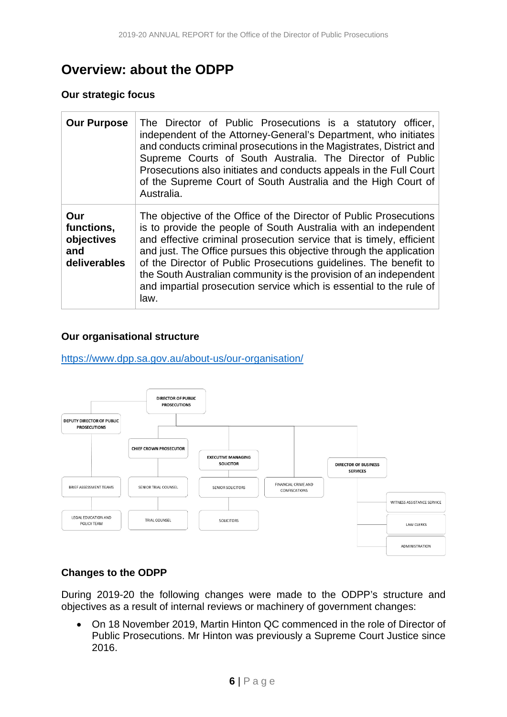# <span id="page-5-0"></span>**Overview: about the ODPP**

#### <span id="page-5-1"></span>**Our strategic focus**

| <b>Our Purpose</b>                                     | The Director of Public Prosecutions is a statutory officer,<br>independent of the Attorney-General's Department, who initiates<br>and conducts criminal prosecutions in the Magistrates, District and<br>Supreme Courts of South Australia. The Director of Public<br>Prosecutions also initiates and conducts appeals in the Full Court<br>of the Supreme Court of South Australia and the High Court of<br>Australia.                                                                                       |
|--------------------------------------------------------|---------------------------------------------------------------------------------------------------------------------------------------------------------------------------------------------------------------------------------------------------------------------------------------------------------------------------------------------------------------------------------------------------------------------------------------------------------------------------------------------------------------|
| Our<br>functions,<br>objectives<br>and<br>deliverables | The objective of the Office of the Director of Public Prosecutions<br>is to provide the people of South Australia with an independent<br>and effective criminal prosecution service that is timely, efficient<br>and just. The Office pursues this objective through the application<br>of the Director of Public Prosecutions guidelines. The benefit to<br>the South Australian community is the provision of an independent<br>and impartial prosecution service which is essential to the rule of<br>law. |

#### <span id="page-5-2"></span>**Our organisational structure**

<https://www.dpp.sa.gov.au/about-us/our-organisation/>



#### <span id="page-5-3"></span>**Changes to the ODPP**

During 2019-20 the following changes were made to the ODPP's structure and objectives as a result of internal reviews or machinery of government changes:

• On 18 November 2019, Martin Hinton QC commenced in the role of Director of Public Prosecutions. Mr Hinton was previously a Supreme Court Justice since 2016.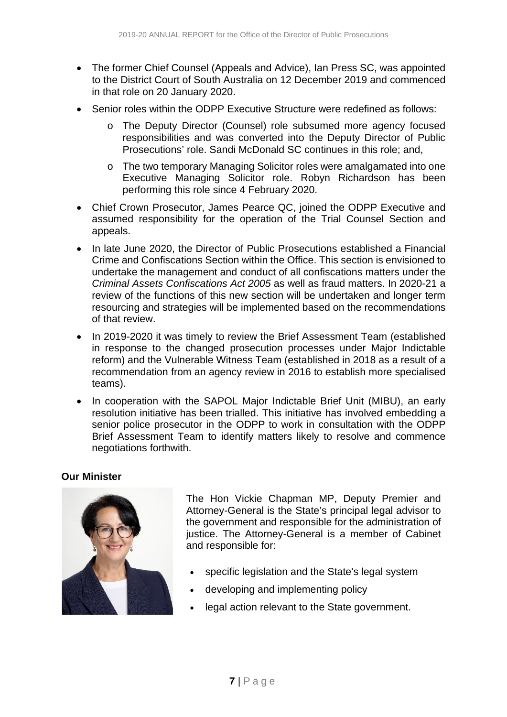- The former Chief Counsel (Appeals and Advice), Ian Press SC, was appointed to the District Court of South Australia on 12 December 2019 and commenced in that role on 20 January 2020.
- Senior roles within the ODPP Executive Structure were redefined as follows:
	- o The Deputy Director (Counsel) role subsumed more agency focused responsibilities and was converted into the Deputy Director of Public Prosecutions' role. Sandi McDonald SC continues in this role; and,
	- o The two temporary Managing Solicitor roles were amalgamated into one Executive Managing Solicitor role. Robyn Richardson has been performing this role since 4 February 2020.
- Chief Crown Prosecutor, James Pearce QC, joined the ODPP Executive and assumed responsibility for the operation of the Trial Counsel Section and appeals.
- In late June 2020, the Director of Public Prosecutions established a Financial Crime and Confiscations Section within the Office. This section is envisioned to undertake the management and conduct of all confiscations matters under the *Criminal Assets Confiscations Act 2005* as well as fraud matters. In 2020-21 a review of the functions of this new section will be undertaken and longer term resourcing and strategies will be implemented based on the recommendations of that review.
- In 2019-2020 it was timely to review the Brief Assessment Team (established in response to the changed prosecution processes under Major Indictable reform) and the Vulnerable Witness Team (established in 2018 as a result of a recommendation from an agency review in 2016 to establish more specialised teams).
- In cooperation with the SAPOL Major Indictable Brief Unit (MIBU), an early resolution initiative has been trialled. This initiative has involved embedding a senior police prosecutor in the ODPP to work in consultation with the ODPP Brief Assessment Team to identify matters likely to resolve and commence negotiations forthwith.

#### <span id="page-6-0"></span>**Our Minister**



The Hon Vickie Chapman MP, Deputy Premier and Attorney-General is the State's principal legal advisor to the government and responsible for the administration of justice. The Attorney-General is a member of Cabinet and responsible for:

- specific legislation and the State's legal system
- developing and implementing policy
- legal action relevant to the State government.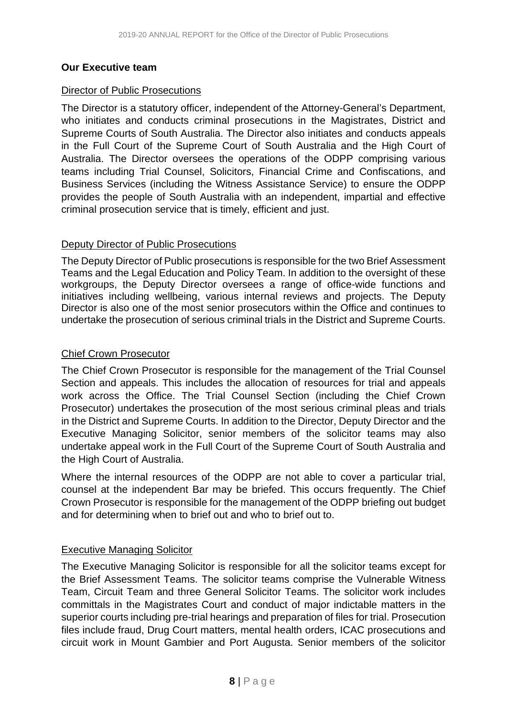#### <span id="page-7-0"></span>**Our Executive team**

#### Director of Public Prosecutions

The Director is a statutory officer, independent of the Attorney-General's Department, who initiates and conducts criminal prosecutions in the Magistrates, District and Supreme Courts of South Australia. The Director also initiates and conducts appeals in the Full Court of the Supreme Court of South Australia and the High Court of Australia. The Director oversees the operations of the ODPP comprising various teams including Trial Counsel, Solicitors, Financial Crime and Confiscations, and Business Services (including the Witness Assistance Service) to ensure the ODPP provides the people of South Australia with an independent, impartial and effective criminal prosecution service that is timely, efficient and just.

#### Deputy Director of Public Prosecutions

The Deputy Director of Public prosecutions is responsible for the two Brief Assessment Teams and the Legal Education and Policy Team. In addition to the oversight of these workgroups, the Deputy Director oversees a range of office-wide functions and initiatives including wellbeing, various internal reviews and projects. The Deputy Director is also one of the most senior prosecutors within the Office and continues to undertake the prosecution of serious criminal trials in the District and Supreme Courts.

#### Chief Crown Prosecutor

The Chief Crown Prosecutor is responsible for the management of the Trial Counsel Section and appeals. This includes the allocation of resources for trial and appeals work across the Office. The Trial Counsel Section (including the Chief Crown Prosecutor) undertakes the prosecution of the most serious criminal pleas and trials in the District and Supreme Courts. In addition to the Director, Deputy Director and the Executive Managing Solicitor, senior members of the solicitor teams may also undertake appeal work in the Full Court of the Supreme Court of South Australia and the High Court of Australia.

Where the internal resources of the ODPP are not able to cover a particular trial, counsel at the independent Bar may be briefed. This occurs frequently. The Chief Crown Prosecutor is responsible for the management of the ODPP briefing out budget and for determining when to brief out and who to brief out to.

#### Executive Managing Solicitor

The Executive Managing Solicitor is responsible for all the solicitor teams except for the Brief Assessment Teams. The solicitor teams comprise the Vulnerable Witness Team, Circuit Team and three General Solicitor Teams. The solicitor work includes committals in the Magistrates Court and conduct of major indictable matters in the superior courts including pre-trial hearings and preparation of files for trial. Prosecution files include fraud, Drug Court matters, mental health orders, ICAC prosecutions and circuit work in Mount Gambier and Port Augusta. Senior members of the solicitor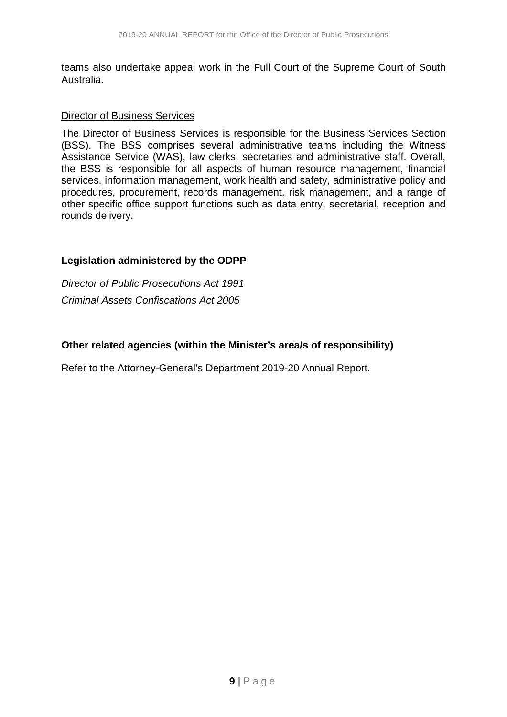teams also undertake appeal work in the Full Court of the Supreme Court of South Australia.

#### Director of Business Services

The Director of Business Services is responsible for the Business Services Section (BSS). The BSS comprises several administrative teams including the Witness Assistance Service (WAS), law clerks, secretaries and administrative staff. Overall, the BSS is responsible for all aspects of human resource management, financial services, information management, work health and safety, administrative policy and procedures, procurement, records management, risk management, and a range of other specific office support functions such as data entry, secretarial, reception and rounds delivery.

#### <span id="page-8-0"></span>**Legislation administered by the ODPP**

*Director of Public Prosecutions Act 1991 Criminal Assets Confiscations Act 2005*

#### <span id="page-8-1"></span>**Other related agencies (within the Minister's area/s of responsibility)**

Refer to the Attorney-General's Department 2019-20 Annual Report.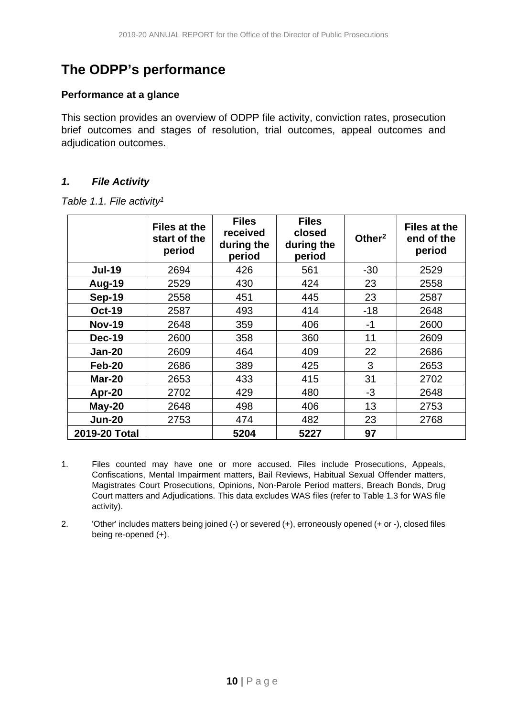# <span id="page-9-0"></span>**The ODPP's performance**

#### <span id="page-9-1"></span>**Performance at a glance**

This section provides an overview of ODPP file activity, conviction rates, prosecution brief outcomes and stages of resolution, trial outcomes, appeal outcomes and adjudication outcomes.

#### *1. File Activity*

|  |  |  | Table 1.1. File activity <sup>1</sup> |
|--|--|--|---------------------------------------|
|--|--|--|---------------------------------------|

|               | Files at the<br>start of the<br>period | <b>Files</b><br>received<br>during the<br>period | <b>Files</b><br>closed<br>during the<br>period | Other <sup>2</sup> | <b>Files at the</b><br>end of the<br>period |
|---------------|----------------------------------------|--------------------------------------------------|------------------------------------------------|--------------------|---------------------------------------------|
| <b>Jul-19</b> | 2694                                   | 426                                              | 561                                            | $-30$              | 2529                                        |
| <b>Aug-19</b> | 2529                                   | 430                                              | 424                                            | 23                 | 2558                                        |
| <b>Sep-19</b> | 2558                                   | 451                                              | 445                                            | 23                 | 2587                                        |
| <b>Oct-19</b> | 2587                                   | 493                                              | 414                                            | $-18$              | 2648                                        |
| <b>Nov-19</b> | 2648                                   | 359                                              | 406                                            | $-1$               | 2600                                        |
| <b>Dec-19</b> | 2600                                   | 358                                              | 360                                            | 11                 | 2609                                        |
| <b>Jan-20</b> | 2609                                   | 464                                              | 409                                            | 22                 | 2686                                        |
| Feb-20        | 2686                                   | 389                                              | 425                                            | 3                  | 2653                                        |
| <b>Mar-20</b> | 2653                                   | 433                                              | 415                                            | 31                 | 2702                                        |
| Apr-20        | 2702                                   | 429                                              | 480                                            | -3                 | 2648                                        |
| $May-20$      | 2648                                   | 498                                              | 406                                            | 13                 | 2753                                        |
| <b>Jun-20</b> | 2753                                   | 474                                              | 482                                            | 23                 | 2768                                        |
| 2019-20 Total |                                        | 5204                                             | 5227                                           | 97                 |                                             |

- 1. Files counted may have one or more accused. Files include Prosecutions, Appeals, Confiscations, Mental Impairment matters, Bail Reviews, Habitual Sexual Offender matters, Magistrates Court Prosecutions, Opinions, Non-Parole Period matters, Breach Bonds, Drug Court matters and Adjudications. This data excludes WAS files (refer to Table 1.3 for WAS file activity).
- 2. 'Other' includes matters being joined (-) or severed (+), erroneously opened (+ or -), closed files being re-opened (+).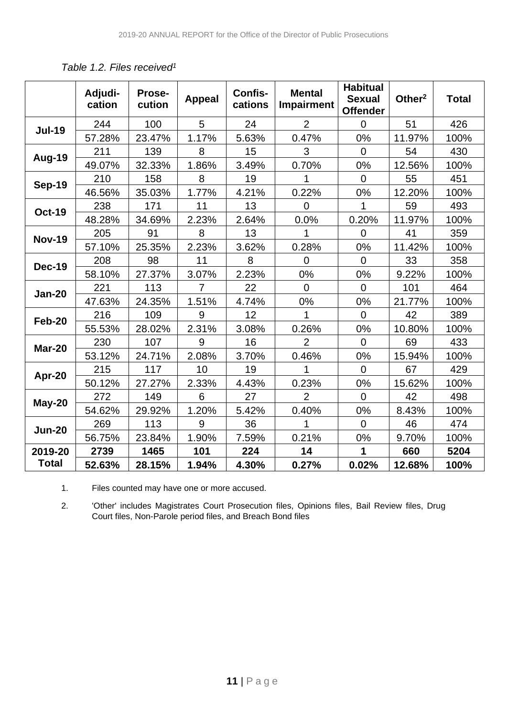|               | Adjudi-<br>cation | Prose-<br>cution | <b>Appeal</b>  | Confis-<br>cations | <b>Mental</b><br><b>Impairment</b> | <b>Habitual</b><br><b>Sexual</b><br><b>Offender</b> | Other <sup>2</sup> | <b>Total</b> |
|---------------|-------------------|------------------|----------------|--------------------|------------------------------------|-----------------------------------------------------|--------------------|--------------|
| <b>Jul-19</b> | 244               | 100              | 5              | 24                 | $\overline{2}$                     | $\Omega$                                            | 51                 | 426          |
|               | 57.28%            | 23.47%           | 1.17%          | 5.63%              | 0.47%                              | 0%                                                  | 11.97%             | 100%         |
| Aug-19        | 211               | 139              | 8              | 15                 | 3                                  | $\overline{0}$                                      | 54                 | 430          |
|               | 49.07%            | 32.33%           | 1.86%          | 3.49%              | 0.70%                              | 0%                                                  | 12.56%             | 100%         |
| <b>Sep-19</b> | 210               | 158              | 8              | 19                 |                                    | $\Omega$                                            | 55                 | 451          |
|               | 46.56%            | 35.03%           | 1.77%          | 4.21%              | 0.22%                              | 0%                                                  | 12.20%             | 100%         |
| <b>Oct-19</b> | 238               | 171              | 11             | 13                 | $\overline{0}$                     | 1                                                   | 59                 | 493          |
|               | 48.28%            | 34.69%           | 2.23%          | 2.64%              | 0.0%                               | 0.20%                                               | 11.97%             | 100%         |
| <b>Nov-19</b> | 205               | 91               | 8              | 13                 | 1                                  | $\overline{0}$                                      | 41                 | 359          |
|               | 57.10%            | 25.35%           | 2.23%          | 3.62%              | 0.28%                              | 0%                                                  | 11.42%             | 100%         |
| <b>Dec-19</b> | 208               | 98               | 11             | 8                  | $\overline{0}$                     | $\overline{0}$                                      | 33                 | 358          |
|               | 58.10%            | 27.37%           | 3.07%          | 2.23%              | 0%                                 | 0%                                                  | 9.22%              | 100%         |
| <b>Jan-20</b> | 221               | 113              | $\overline{7}$ | 22                 | $\mathbf 0$                        | $\overline{0}$                                      | 101                | 464          |
|               | 47.63%            | 24.35%           | 1.51%          | 4.74%              | 0%                                 | 0%                                                  | 21.77%             | 100%         |
| <b>Feb-20</b> | 216               | 109              | 9              | 12                 |                                    | $\Omega$                                            | 42                 | 389          |
|               | 55.53%            | 28.02%           | 2.31%          | 3.08%              | 0.26%                              | 0%                                                  | 10.80%             | 100%         |
| <b>Mar-20</b> | 230               | 107              | 9              | 16                 | $\overline{2}$                     | $\Omega$                                            | 69                 | 433          |
|               | 53.12%            | 24.71%           | 2.08%          | 3.70%              | 0.46%                              | 0%                                                  | 15.94%             | 100%         |
| Apr-20        | 215               | 117              | 10             | 19                 | 1                                  | $\Omega$                                            | 67                 | 429          |
|               | 50.12%            | 27.27%           | 2.33%          | 4.43%              | 0.23%                              | 0%                                                  | 15.62%             | 100%         |
| May-20        | 272               | 149              | 6              | 27                 | $\overline{2}$                     | $\overline{0}$                                      | 42                 | 498          |
|               | 54.62%            | 29.92%           | 1.20%          | 5.42%              | 0.40%                              | 0%                                                  | 8.43%              | 100%         |
| <b>Jun-20</b> | 269               | 113              | 9              | 36                 | 1                                  | $\Omega$                                            | 46                 | 474          |
|               | 56.75%            | 23.84%           | 1.90%          | 7.59%              | 0.21%                              | 0%                                                  | 9.70%              | 100%         |
| 2019-20       | 2739              | 1465             | 101            | 224                | 14                                 | 1                                                   | 660                | 5204         |
| <b>Total</b>  | 52.63%            | 28.15%           | 1.94%          | 4.30%              | 0.27%                              | 0.02%                                               | 12.68%             | 100%         |

*Table 1.2. Files received1*

1. Files counted may have one or more accused.

2. 'Other' includes Magistrates Court Prosecution files, Opinions files, Bail Review files, Drug Court files, Non-Parole period files, and Breach Bond files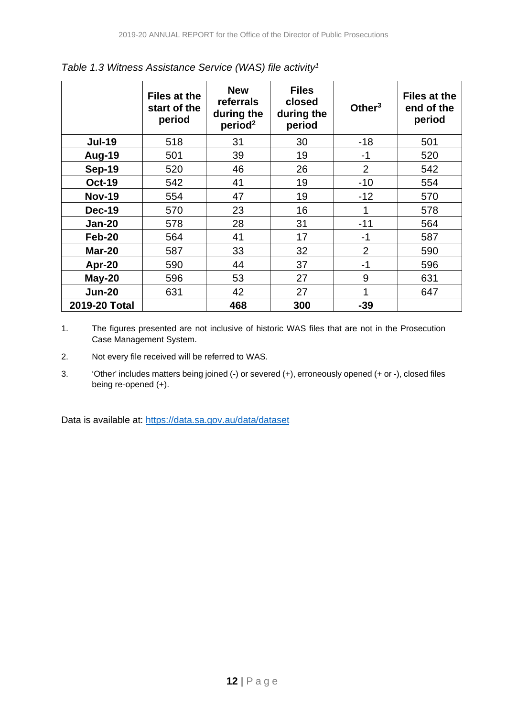|               | <b>Files at the</b><br>start of the<br>period | <b>New</b><br>referrals<br>during the<br>period <sup>2</sup> | <b>Files</b><br>closed<br>during the<br>period | Other $3$      | <b>Files at the</b><br>end of the<br>period |
|---------------|-----------------------------------------------|--------------------------------------------------------------|------------------------------------------------|----------------|---------------------------------------------|
| <b>Jul-19</b> | 518                                           | 31                                                           | 30                                             | $-18$          | 501                                         |
| <b>Aug-19</b> | 501                                           | 39                                                           | 19                                             | $-1$           | 520                                         |
| <b>Sep-19</b> | 520                                           | 46                                                           | 26                                             | $\overline{2}$ | 542                                         |
| <b>Oct-19</b> | 542                                           | 41                                                           | 19                                             | $-10$          | 554                                         |
| <b>Nov-19</b> | 554                                           | 47                                                           | 19                                             | $-12$          | 570                                         |
| <b>Dec-19</b> | 570                                           | 23                                                           | 16                                             | 1              | 578                                         |
| <b>Jan-20</b> | 578                                           | 28                                                           | 31                                             | $-11$          | 564                                         |
| Feb-20        | 564                                           | 41                                                           | 17                                             | $-1$           | 587                                         |
| <b>Mar-20</b> | 587                                           | 33                                                           | 32                                             | $\overline{2}$ | 590                                         |
| Apr-20        | 590                                           | 44                                                           | 37                                             | $-1$           | 596                                         |
| May-20        | 596                                           | 53                                                           | 27                                             | 9              | 631                                         |
| <b>Jun-20</b> | 631                                           | 42                                                           | 27                                             | 1              | 647                                         |
| 2019-20 Total |                                               | 468                                                          | 300                                            | $-39$          |                                             |

*Table 1.3 Witness Assistance Service (WAS) file activity1*

- 1. The figures presented are not inclusive of historic WAS files that are not in the Prosecution Case Management System.
- 2. Not every file received will be referred to WAS.
- 3. 'Other' includes matters being joined (-) or severed (+), erroneously opened (+ or -), closed files being re-opened (+).

Data is available at:<https://data.sa.gov.au/data/dataset>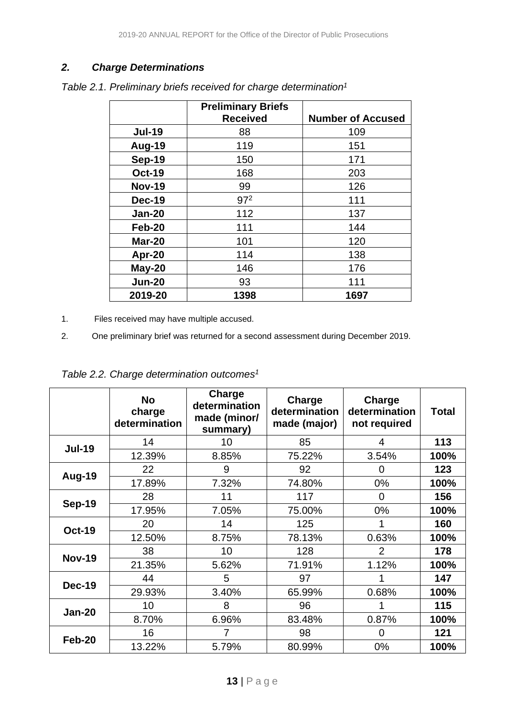#### *2. Charge Determinations*

|               | <b>Preliminary Briefs</b> |                          |
|---------------|---------------------------|--------------------------|
|               | <b>Received</b>           | <b>Number of Accused</b> |
| <b>Jul-19</b> | 88                        | 109                      |
| Aug-19        | 119                       | 151                      |
| <b>Sep-19</b> | 150                       | 171                      |
| <b>Oct-19</b> | 168                       | 203                      |
| <b>Nov-19</b> | 99                        | 126                      |
| <b>Dec-19</b> | 97 <sup>2</sup>           | 111                      |
| <b>Jan-20</b> | 112                       | 137                      |
| Feb-20        | 111                       | 144                      |
| <b>Mar-20</b> | 101                       | 120                      |
| Apr-20        | 114                       | 138                      |
| $May-20$      | 146                       | 176                      |
| <b>Jun-20</b> | 93                        | 111                      |
| 2019-20       | 1398                      | 1697                     |

*Table 2.1. Preliminary briefs received for charge determination1*

- 1. Files received may have multiple accused.
- 2. One preliminary brief was returned for a second assessment during December 2019.

*Table 2.2. Charge determination outcomes1*

|               | <b>No</b><br>charge<br>determination | Charge<br>determination<br>made (minor/<br>summary) | Charge<br>determination<br>made (major) | Charge<br>determination<br>not required | Total |
|---------------|--------------------------------------|-----------------------------------------------------|-----------------------------------------|-----------------------------------------|-------|
| <b>Jul-19</b> | 14                                   | 10 <sup>1</sup>                                     | 85                                      | 4                                       | 113   |
|               | 12.39%                               | 8.85%                                               | 75.22%                                  | 3.54%                                   | 100%  |
|               | 22                                   | 9                                                   | 92                                      | 0                                       | 123   |
| Aug-19        | 17.89%                               | 7.32%                                               | 74.80%                                  | 0%                                      | 100%  |
|               | 28                                   | 11                                                  | 117                                     | $\overline{0}$                          | 156   |
| <b>Sep-19</b> | 17.95%                               | 7.05%                                               | 75.00%                                  | $0\%$                                   | 100%  |
|               | 20                                   | 14                                                  | 125                                     | 1                                       | 160   |
| <b>Oct-19</b> | 12.50%                               | 8.75%                                               | 78.13%                                  | 0.63%                                   | 100%  |
| <b>Nov-19</b> | 38                                   | 10                                                  | 128                                     | $\overline{2}$                          | 178   |
|               | 21.35%                               | 5.62%                                               | 71.91%                                  | 1.12%                                   | 100%  |
|               | 44                                   | 5                                                   | 97                                      |                                         | 147   |
| <b>Dec-19</b> | 29.93%                               | 3.40%                                               | 65.99%                                  | 0.68%                                   | 100%  |
|               | 10                                   | 8                                                   | 96                                      |                                         | 115   |
| <b>Jan-20</b> | 8.70%                                | 6.96%                                               | 83.48%                                  | 0.87%                                   | 100%  |
|               | 16                                   |                                                     | 98                                      | $\overline{0}$                          | 121   |
| Feb-20        | 13.22%                               | 5.79%                                               | 80.99%                                  | 0%                                      | 100%  |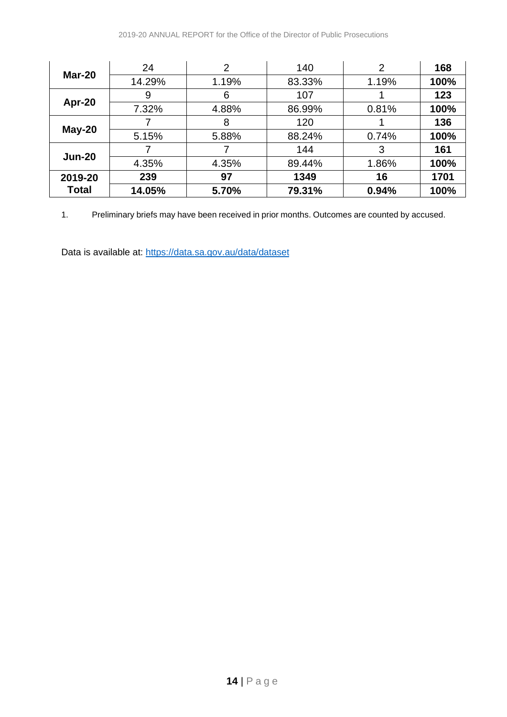|               | 24     | 2     | 140    | 2     | 168  |
|---------------|--------|-------|--------|-------|------|
| <b>Mar-20</b> | 14.29% | 1.19% | 83.33% | 1.19% | 100% |
|               | 9      | 6     | 107    |       | 123  |
| Apr-20        | 7.32%  | 4.88% | 86.99% | 0.81% | 100% |
|               |        | 8     | 120    |       | 136  |
| $May-20$      | 5.15%  | 5.88% | 88.24% | 0.74% | 100% |
| <b>Jun-20</b> |        |       | 144    | 3     | 161  |
|               | 4.35%  | 4.35% | 89.44% | 1.86% | 100% |
| 2019-20       | 239    | 97    | 1349   | 16    | 1701 |
| Total         | 14.05% | 5.70% | 79.31% | 0.94% | 100% |

1. Preliminary briefs may have been received in prior months. Outcomes are counted by accused.

Data is available at:<https://data.sa.gov.au/data/dataset>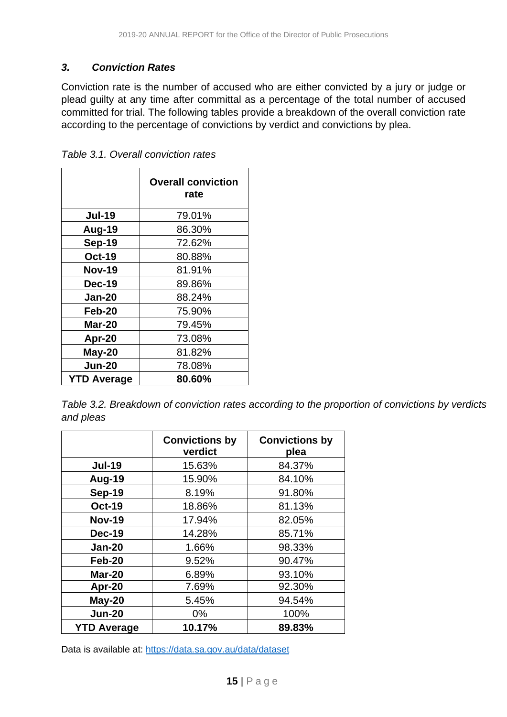#### *3. Conviction Rates*

Conviction rate is the number of accused who are either convicted by a jury or judge or plead guilty at any time after committal as a percentage of the total number of accused committed for trial. The following tables provide a breakdown of the overall conviction rate according to the percentage of convictions by verdict and convictions by plea.

|                    | <b>Overall conviction</b><br>rate |  |
|--------------------|-----------------------------------|--|
| <b>Jul-19</b>      | 79.01%                            |  |
| Aug-19             | 86.30%                            |  |
| <b>Sep-19</b>      | 72.62%                            |  |
| <b>Oct-19</b>      | 80.88%                            |  |
| <b>Nov-19</b>      | 81.91%                            |  |
| <b>Dec-19</b>      | 89.86%                            |  |
| <b>Jan-20</b>      | 88.24%                            |  |
| Feb-20             | 75.90%                            |  |
| <b>Mar-20</b>      | 79.45%                            |  |
| Apr-20             | 73.08%                            |  |
| $May-20$           | 81.82%                            |  |
| Jun-20             | 78.08%                            |  |
| <b>YTD Average</b> | 80.60%                            |  |

*Table 3.1. Overall conviction rates*

*Table 3.2. Breakdown of conviction rates according to the proportion of convictions by verdicts and pleas*

|                    | <b>Convictions by</b><br>verdict | <b>Convictions by</b><br>plea |
|--------------------|----------------------------------|-------------------------------|
| <b>Jul-19</b>      | 15.63%                           | 84.37%                        |
| Aug-19             | 15.90%                           | 84.10%                        |
| <b>Sep-19</b>      | 8.19%                            | 91.80%                        |
| <b>Oct-19</b>      | 18.86%                           | 81.13%                        |
| <b>Nov-19</b>      | 17.94%                           | 82.05%                        |
| Dec-19             | 14.28%                           | 85.71%                        |
| <b>Jan-20</b>      | 1.66%                            | 98.33%                        |
| Feb-20             | 9.52%                            | 90.47%                        |
| <b>Mar-20</b>      | 6.89%                            | 93.10%                        |
| Apr-20             | 7.69%                            | 92.30%                        |
| May-20             | 5.45%                            | 94.54%                        |
| <b>Jun-20</b>      | $0\%$                            | 100%                          |
| <b>YTD Average</b> | 10.17%                           | 89.83%                        |

Data is available at:<https://data.sa.gov.au/data/dataset>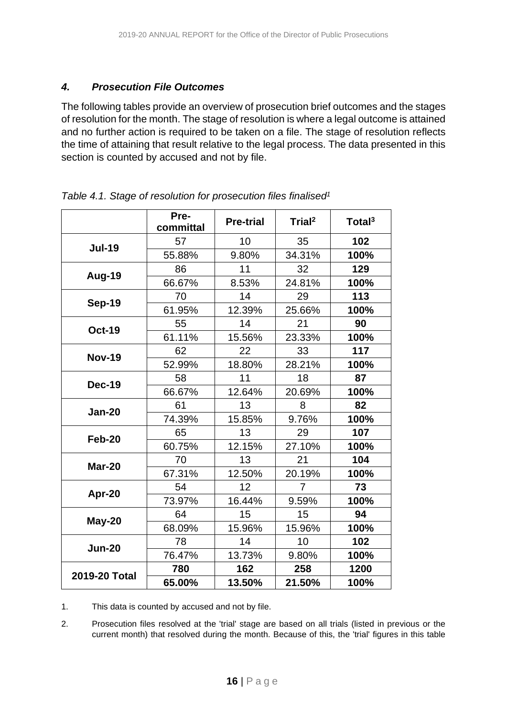#### *4. Prosecution File Outcomes*

The following tables provide an overview of prosecution brief outcomes and the stages of resolution for the month. The stage of resolution is where a legal outcome is attained and no further action is required to be taken on a file. The stage of resolution reflects the time of attaining that result relative to the legal process. The data presented in this section is counted by accused and not by file.

|               | Pre-<br>committal | <b>Pre-trial</b> | Trial <sup>2</sup> | Total <sup>3</sup> |
|---------------|-------------------|------------------|--------------------|--------------------|
| <b>Jul-19</b> | 57                | 10               | 35                 | 102                |
|               | 55.88%            | 9.80%            | 34.31%             | 100%               |
| Aug-19        | 86                | 11               | 32                 | 129                |
|               | 66.67%            | 8.53%            | 24.81%             | 100%               |
|               | 70                | 14               | 29                 | 113                |
| <b>Sep-19</b> | 61.95%            | 12.39%           | 25.66%             | 100%               |
| <b>Oct-19</b> | 55                | 14               | 21                 | 90                 |
|               | 61.11%            | 15.56%           | 23.33%             | 100%               |
| <b>Nov-19</b> | 62                | 22               | 33                 | 117                |
|               | 52.99%            | 18.80%           | 28.21%             | 100%               |
| <b>Dec-19</b> | 58                | 11               | 18                 | 87                 |
|               | 66.67%            | 12.64%           | 20.69%             | 100%               |
|               | 61                | 13               | 8                  | 82                 |
| <b>Jan-20</b> | 74.39%            | 15.85%           | 9.76%              | 100%               |
| Feb-20        | 65                | 13               | 29                 | 107                |
|               | 60.75%            | 12.15%           | 27.10%             | 100%               |
| <b>Mar-20</b> | 70                | 13               | 21                 | 104                |
|               | 67.31%            | 12.50%           | 20.19%             | 100%               |
|               | 54                | 12               | $\overline{7}$     | 73                 |
| Apr-20        | 73.97%            | 16.44%           | 9.59%              | 100%               |
| May-20        | 64                | 15               | 15                 | 94                 |
|               | 68.09%            | 15.96%           | 15.96%             | 100%               |
| <b>Jun-20</b> | 78                | 14               | 10                 | 102                |
|               | 76.47%            | 13.73%           | 9.80%              | 100%               |
| 2019-20 Total | 780               | 162              | 258                | 1200               |
|               | 65.00%            | 13.50%           | 21.50%             | 100%               |

*Table 4.1. Stage of resolution for prosecution files finalised1*

1. This data is counted by accused and not by file.

2. Prosecution files resolved at the 'trial' stage are based on all trials (listed in previous or the current month) that resolved during the month. Because of this, the 'trial' figures in this table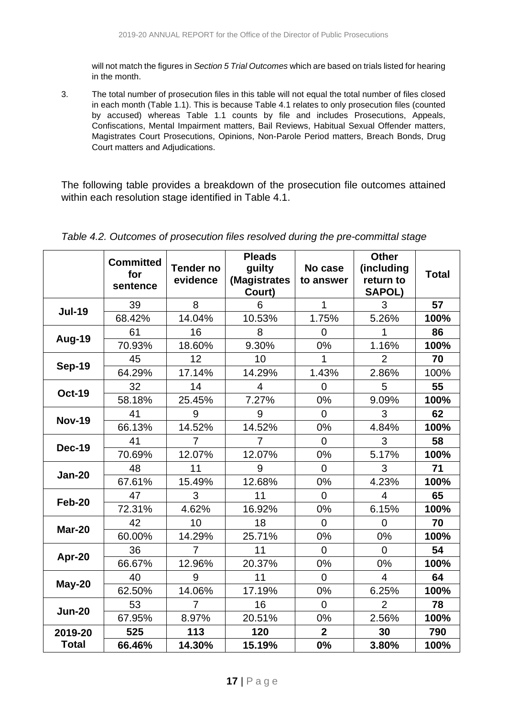will not match the figures in *Section 5 Trial Outcomes* which are based on trials listed for hearing in the month.

3. The total number of prosecution files in this table will not equal the total number of files closed in each month (Table 1.1). This is because Table 4.1 relates to only prosecution files (counted by accused) whereas Table 1.1 counts by file and includes Prosecutions, Appeals, Confiscations, Mental Impairment matters, Bail Reviews, Habitual Sexual Offender matters, Magistrates Court Prosecutions, Opinions, Non-Parole Period matters, Breach Bonds, Drug Court matters and Adjudications.

The following table provides a breakdown of the prosecution file outcomes attained within each resolution stage identified in Table 4.1.

|               | <b>Committed</b><br>for<br>sentence | <b>Tender no</b><br>evidence | <b>Pleads</b><br>guilty<br>(Magistrates<br>Court) | No case<br>to answer | <b>Other</b><br>(including<br>return to<br><b>SAPOL)</b> | <b>Total</b> |
|---------------|-------------------------------------|------------------------------|---------------------------------------------------|----------------------|----------------------------------------------------------|--------------|
| <b>Jul-19</b> | 39                                  | 8                            | 6                                                 | $\mathbf{1}$         | 3                                                        | 57           |
|               | 68.42%                              | 14.04%                       | 10.53%                                            | 1.75%                | 5.26%                                                    | 100%         |
| Aug-19        | 61                                  | 16                           | 8                                                 | 0                    | 1                                                        | 86           |
|               | 70.93%                              | 18.60%                       | 9.30%                                             | 0%                   | 1.16%                                                    | 100%         |
| <b>Sep-19</b> | 45                                  | 12                           | 10                                                | 1                    | $\overline{2}$                                           | 70           |
|               | 64.29%                              | 17.14%                       | 14.29%                                            | 1.43%                | 2.86%                                                    | 100%         |
| <b>Oct-19</b> | 32                                  | 14                           | $\overline{4}$                                    | $\overline{0}$       | 5                                                        | 55           |
|               | 58.18%                              | 25.45%                       | 7.27%                                             | 0%                   | 9.09%                                                    | 100%         |
| <b>Nov-19</b> | 41                                  | 9                            | 9                                                 | 0                    | 3                                                        | 62           |
|               | 66.13%                              | 14.52%                       | 14.52%                                            | 0%                   | 4.84%                                                    | 100%         |
| <b>Dec-19</b> | 41                                  | 7                            | 7                                                 | 0                    | 3                                                        | 58           |
|               | 70.69%                              | 12.07%                       | 12.07%                                            | 0%                   | 5.17%                                                    | 100%         |
| <b>Jan-20</b> | 48                                  | 11                           | 9                                                 | $\overline{0}$       | 3                                                        | 71           |
|               | 67.61%                              | 15.49%                       | 12.68%                                            | 0%                   | 4.23%                                                    | 100%         |
| Feb-20        | 47                                  | 3                            | 11                                                | $\overline{0}$       | $\overline{4}$                                           | 65           |
|               | 72.31%                              | 4.62%                        | 16.92%                                            | 0%                   | 6.15%                                                    | 100%         |
| Mar-20        | 42                                  | 10                           | 18                                                | 0                    | $\overline{0}$                                           | 70           |
|               | 60.00%                              | 14.29%                       | 25.71%                                            | 0%                   | 0%                                                       | 100%         |
|               | 36                                  | $\overline{7}$               | 11                                                | $\overline{0}$       | $\Omega$                                                 | 54           |
| Apr-20        | 66.67%                              | 12.96%                       | 20.37%                                            | 0%                   | 0%                                                       | 100%         |
|               | 40                                  | 9                            | 11                                                | 0                    | $\overline{4}$                                           | 64           |
| May-20        | 62.50%                              | 14.06%                       | 17.19%                                            | 0%                   | 6.25%                                                    | 100%         |
| <b>Jun-20</b> | 53                                  | $\overline{7}$               | 16                                                | $\overline{0}$       | $\overline{2}$                                           | 78           |
|               | 67.95%                              | 8.97%                        | 20.51%                                            | 0%                   | 2.56%                                                    | 100%         |
| 2019-20       | 525                                 | 113                          | 120                                               | $\overline{2}$       | 30                                                       | 790          |
| <b>Total</b>  | 66.46%                              | 14.30%                       | 15.19%                                            | 0%                   | 3.80%                                                    | 100%         |

*Table 4.2. Outcomes of prosecution files resolved during the pre-committal stage*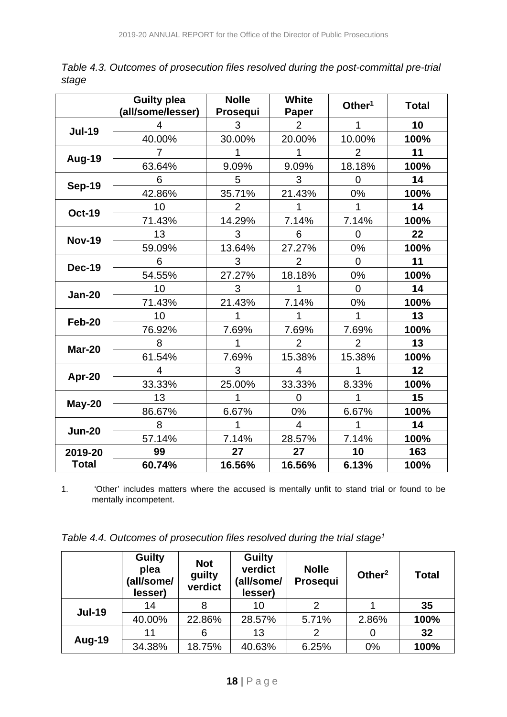|               | <b>Guilty plea</b><br>(all/some/lesser) | <b>Nolle</b><br>Prosequi | <b>White</b><br>Paper | Other $1$      | <b>Total</b> |
|---------------|-----------------------------------------|--------------------------|-----------------------|----------------|--------------|
|               | 4                                       | 3                        | 2                     |                | 10           |
| <b>Jul-19</b> | 40.00%                                  | 30.00%                   | 20.00%                | 10.00%         | 100%         |
|               | 7                                       |                          |                       | $\overline{2}$ | 11           |
| Aug-19        | 63.64%                                  | 9.09%                    | 9.09%                 | 18.18%         | 100%         |
| <b>Sep-19</b> | 6                                       | 5                        | 3                     | 0              | 14           |
|               | 42.86%                                  | 35.71%                   | 21.43%                | 0%             | 100%         |
| <b>Oct-19</b> | 10                                      | $\overline{2}$           |                       | 1              | 14           |
|               | 71.43%                                  | 14.29%                   | 7.14%                 | 7.14%          | 100%         |
| <b>Nov-19</b> | 13                                      | 3                        | 6                     | 0              | 22           |
|               | 59.09%                                  | 13.64%                   | 27.27%                | 0%             | 100%         |
| <b>Dec-19</b> | 6                                       | 3                        | 2                     | 0              | 11           |
|               | 54.55%                                  | 27.27%                   | 18.18%                | 0%             | 100%         |
| <b>Jan-20</b> | 10                                      | 3                        |                       | $\overline{0}$ | 14           |
|               | 71.43%                                  | 21.43%                   | 7.14%                 | 0%             | 100%         |
| Feb-20        | 10                                      |                          |                       |                | 13           |
|               | 76.92%                                  | 7.69%                    | 7.69%                 | 7.69%          | 100%         |
| <b>Mar-20</b> | 8                                       |                          | $\overline{2}$        | 2              | 13           |
|               | 61.54%                                  | 7.69%                    | 15.38%                | 15.38%         | 100%         |
| Apr-20        | 4                                       | 3                        | $\overline{4}$        | 1              | 12           |
|               | 33.33%                                  | 25.00%                   | 33.33%                | 8.33%          | 100%         |
| May-20        | 13                                      |                          | $\Omega$              |                | 15           |
|               | 86.67%                                  | 6.67%                    | 0%                    | 6.67%          | 100%         |
| <b>Jun-20</b> | 8                                       |                          | $\overline{4}$        | 1              | 14           |
|               | 57.14%                                  | 7.14%                    | 28.57%                | 7.14%          | 100%         |
| 2019-20       | 99                                      | 27                       | 27                    | 10             | 163          |
| <b>Total</b>  | 60.74%                                  | 16.56%                   | 16.56%                | 6.13%          | 100%         |

*Table 4.3. Outcomes of prosecution files resolved during the post-committal pre-trial stage*

1. 'Other' includes matters where the accused is mentally unfit to stand trial or found to be mentally incompetent.

| Table 4.4. Outcomes of prosecution files resolved during the trial stage <sup>1</sup> |  |  |  |  |
|---------------------------------------------------------------------------------------|--|--|--|--|
|---------------------------------------------------------------------------------------|--|--|--|--|

|               | <b>Guilty</b><br>plea<br>(all/some/<br>lesser) | <b>Not</b><br>guilty<br>verdict | <b>Guilty</b><br>verdict<br>(all/some/<br>lesser) | <b>Nolle</b><br>Prosequi | Other <sup>2</sup> | <b>Total</b> |
|---------------|------------------------------------------------|---------------------------------|---------------------------------------------------|--------------------------|--------------------|--------------|
| <b>Jul-19</b> | 14                                             |                                 | 10                                                | 2                        |                    | 35           |
|               | 40.00%                                         | 22.86%                          | 28.57%                                            | 5.71%                    | 2.86%              | 100%         |
|               | 11                                             | 6                               | 13                                                | 2                        |                    | 32           |
| Aug-19        | 34.38%                                         | 18.75%                          | 40.63%                                            | 6.25%                    | 0%                 | 100%         |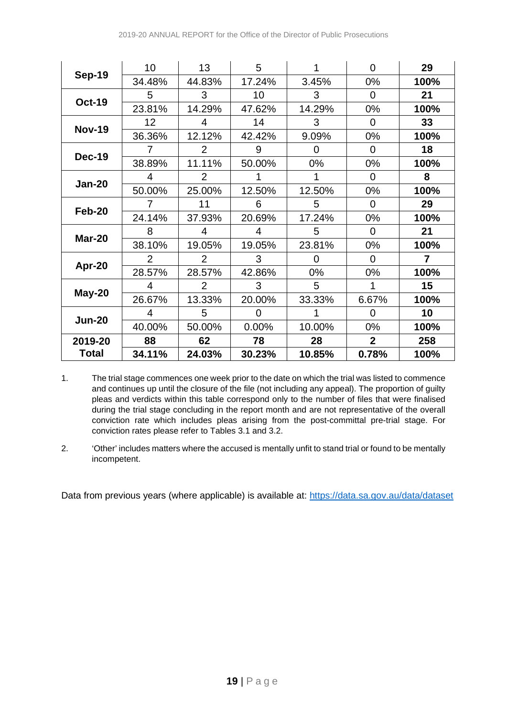|               | 10     | 13             | 5        |        | $\Omega$       | 29   |
|---------------|--------|----------------|----------|--------|----------------|------|
| <b>Sep-19</b> | 34.48% | 44.83%         | 17.24%   | 3.45%  | $0\%$          | 100% |
|               | 5      | 3              | 10       | 3      | $\Omega$       | 21   |
| <b>Oct-19</b> | 23.81% | 14.29%         | 47.62%   | 14.29% | $0\%$          | 100% |
|               | 12     | 4              | 14       | 3      | $\Omega$       | 33   |
| <b>Nov-19</b> | 36.36% | 12.12%         | 42.42%   | 9.09%  | $0\%$          | 100% |
|               | 7      | $\overline{2}$ | 9        | 0      | 0              | 18   |
| <b>Dec-19</b> | 38.89% | 11.11%         | 50.00%   | 0%     | $0\%$          | 100% |
|               | 4      | 2              |          | 1      | 0              | 8    |
| <b>Jan-20</b> | 50.00% | 25.00%         | 12.50%   | 12.50% | $0\%$          | 100% |
|               | 7      | 11             | 6        | 5      | $\Omega$       | 29   |
| Feb-20        | 24.14% | 37.93%         | 20.69%   | 17.24% | 0%             | 100% |
| Mar-20        | 8      | 4              | 4        | 5      | 0              | 21   |
|               | 38.10% | 19.05%         | 19.05%   | 23.81% | $0\%$          | 100% |
|               | 2      | 2              | 3        | 0      | 0              | 7    |
| Apr-20        | 28.57% | 28.57%         | 42.86%   | 0%     | $0\%$          | 100% |
|               | 4      | $\overline{2}$ | 3        | 5      |                | 15   |
| May-20        | 26.67% | 13.33%         | 20.00%   | 33.33% | 6.67%          | 100% |
|               | 4      | 5              | $\Omega$ | 1      | $\Omega$       | 10   |
| <b>Jun-20</b> | 40.00% | 50.00%         | 0.00%    | 10.00% | $0\%$          | 100% |
| 2019-20       | 88     | 62             | 78       | 28     | $\overline{2}$ | 258  |
| Total         | 34.11% | 24.03%         | 30.23%   | 10.85% | 0.78%          | 100% |

1. The trial stage commences one week prior to the date on which the trial was listed to commence and continues up until the closure of the file (not including any appeal). The proportion of guilty pleas and verdicts within this table correspond only to the number of files that were finalised during the trial stage concluding in the report month and are not representative of the overall conviction rate which includes pleas arising from the post-committal pre-trial stage. For conviction rates please refer to Tables 3.1 and 3.2.

2. 'Other' includes matters where the accused is mentally unfit to stand trial or found to be mentally incompetent.

Data from previous years (where applicable) is available at:<https://data.sa.gov.au/data/dataset>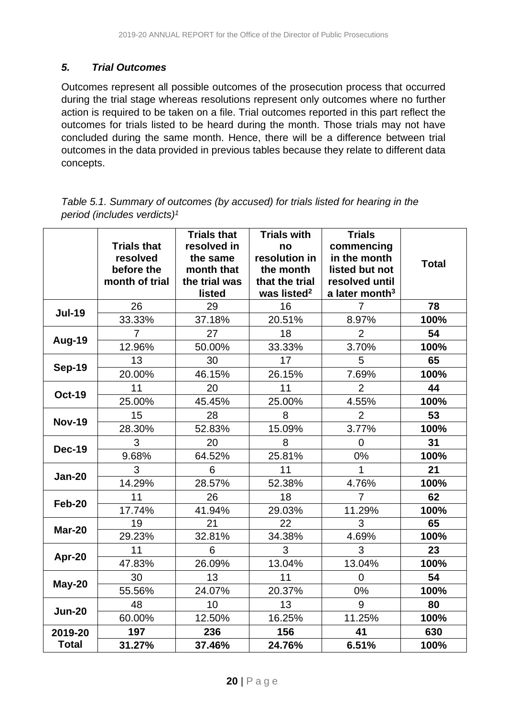#### *5. Trial Outcomes*

Outcomes represent all possible outcomes of the prosecution process that occurred during the trial stage whereas resolutions represent only outcomes where no further action is required to be taken on a file. Trial outcomes reported in this part reflect the outcomes for trials listed to be heard during the month. Those trials may not have concluded during the same month. Hence, there will be a difference between trial outcomes in the data provided in previous tables because they relate to different data concepts.

| Table 5.1. Summary of outcomes (by accused) for trials listed for hearing in the |  |
|----------------------------------------------------------------------------------|--|
| period (includes verdicts) <sup>1</sup>                                          |  |

|               | <b>Trials that</b> | <b>Trials that</b><br>resolved in | <b>Trials with</b><br>no | <b>Trials</b><br>commencing |              |
|---------------|--------------------|-----------------------------------|--------------------------|-----------------------------|--------------|
|               | resolved           | the same                          | resolution in            | in the month                |              |
|               | before the         | month that                        | the month                | listed but not              | <b>Total</b> |
|               | month of trial     | the trial was                     | that the trial           | resolved until              |              |
|               |                    | listed                            | was listed <sup>2</sup>  | a later month <sup>3</sup>  |              |
| <b>Jul-19</b> | 26                 | 29                                | 16                       | $\overline{7}$              | 78           |
|               | 33.33%             | 37.18%                            | 20.51%                   | 8.97%                       | 100%         |
| Aug-19        | 7                  | 27                                | 18                       | $\overline{2}$              | 54           |
|               | 12.96%             | 50.00%                            | 33.33%                   | 3.70%                       | 100%         |
| <b>Sep-19</b> | 13                 | 30                                | 17                       | 5                           | 65           |
|               | 20.00%             | 46.15%                            | 26.15%                   | 7.69%                       | 100%         |
| <b>Oct-19</b> | 11                 | 20                                | 11                       | $\overline{2}$              | 44           |
|               | 25.00%             | 45.45%                            | 25.00%                   | 4.55%                       | 100%         |
| <b>Nov-19</b> | 15                 | 28                                | 8                        | $\overline{2}$              | 53           |
|               | 28.30%             | 52.83%                            | 15.09%                   | 3.77%                       | 100%         |
| <b>Dec-19</b> | 3                  | 20                                | 8                        | $\overline{0}$              | 31           |
|               | 9.68%              | 64.52%                            | 25.81%                   | 0%                          | 100%         |
| <b>Jan-20</b> | 3                  | 6                                 | 11                       | 1                           | 21           |
|               | 14.29%             | 28.57%                            | 52.38%                   | 4.76%                       | 100%         |
| <b>Feb-20</b> | 11                 | 26                                | 18                       | $\overline{7}$              | 62           |
|               | 17.74%             | 41.94%                            | 29.03%                   | 11.29%                      | 100%         |
| <b>Mar-20</b> | 19                 | 21                                | 22                       | 3                           | 65           |
|               | 29.23%             | 32.81%                            | 34.38%                   | 4.69%                       | 100%         |
| Apr-20        | 11                 | 6                                 | 3                        | 3                           | 23           |
|               | 47.83%             | 26.09%                            | 13.04%                   | 13.04%                      | 100%         |
| May-20        | 30                 | 13                                | 11                       | $\Omega$                    | 54           |
|               | 55.56%             | 24.07%                            | 20.37%                   | 0%                          | 100%         |
| <b>Jun-20</b> | 48                 | 10                                | 13                       | 9                           | 80           |
|               | 60.00%             | 12.50%                            | 16.25%                   | 11.25%                      | 100%         |
| 2019-20       | 197                | 236                               | 156                      | 41                          | 630          |
| <b>Total</b>  | 31.27%             | 37.46%                            | 24.76%                   | 6.51%                       | 100%         |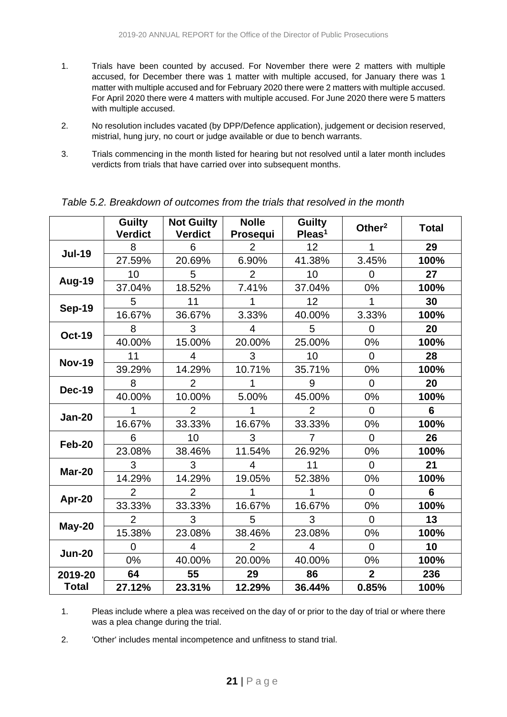- 1. Trials have been counted by accused. For November there were 2 matters with multiple accused, for December there was 1 matter with multiple accused, for January there was 1 matter with multiple accused and for February 2020 there were 2 matters with multiple accused. For April 2020 there were 4 matters with multiple accused. For June 2020 there were 5 matters with multiple accused.
- 2. No resolution includes vacated (by DPP/Defence application), judgement or decision reserved, mistrial, hung jury, no court or judge available or due to bench warrants.
- 3. Trials commencing in the month listed for hearing but not resolved until a later month includes verdicts from trials that have carried over into subsequent months.

|               | <b>Guilty</b><br><b>Verdict</b> | <b>Not Guilty</b><br><b>Verdict</b> | <b>Nolle</b><br>Prosequi | <b>Guilty</b><br>Pleas <sup>1</sup> | Other <sup>2</sup> | <b>Total</b>   |
|---------------|---------------------------------|-------------------------------------|--------------------------|-------------------------------------|--------------------|----------------|
| <b>Jul-19</b> | 8                               | 6                                   | $\overline{2}$           | 12                                  | 1                  | 29             |
|               | 27.59%                          | 20.69%                              | 6.90%                    | 41.38%                              | 3.45%              | 100%           |
|               | 10                              | 5                                   | $\overline{2}$           | 10                                  | $\overline{0}$     | 27             |
| Aug-19        | 37.04%                          | 18.52%                              | 7.41%                    | 37.04%                              | 0%                 | 100%           |
|               | 5                               | 11                                  |                          | 12                                  |                    | 30             |
| <b>Sep-19</b> | 16.67%                          | 36.67%                              | 3.33%                    | 40.00%                              | 3.33%              | 100%           |
| <b>Oct-19</b> | 8                               | 3                                   | 4                        | 5                                   | $\Omega$           | 20             |
|               | 40.00%                          | 15.00%                              | 20.00%                   | 25.00%                              | 0%                 | 100%           |
| <b>Nov-19</b> | 11                              | 4                                   | 3                        | 10                                  | $\Omega$           | 28             |
|               | 39.29%                          | 14.29%                              | 10.71%                   | 35.71%                              | 0%                 | 100%           |
| Dec-19        | 8                               | $\mathcal{P}$                       |                          | 9                                   | $\Omega$           | 20             |
|               | 40.00%                          | 10.00%                              | 5.00%                    | 45.00%                              | 0%                 | 100%           |
| <b>Jan-20</b> |                                 | $\overline{2}$                      |                          | $\overline{2}$                      | $\overline{0}$     | $6\phantom{1}$ |
|               | 16.67%                          | 33.33%                              | 16.67%                   | 33.33%                              | 0%                 | 100%           |
| <b>Feb-20</b> | 6                               | 10                                  | 3                        | 7                                   | $\Omega$           | 26             |
|               | 23.08%                          | 38.46%                              | 11.54%                   | 26.92%                              | 0%                 | 100%           |
| Mar-20        | 3                               | 3                                   | 4                        | 11                                  | $\Omega$           | 21             |
|               | 14.29%                          | 14.29%                              | 19.05%                   | 52.38%                              | 0%                 | 100%           |
|               | $\overline{2}$                  | $\overline{2}$                      |                          | 1                                   | $\Omega$           | 6              |
| Apr-20        | 33.33%                          | 33.33%                              | 16.67%                   | 16.67%                              | 0%                 | 100%           |
|               | $\overline{2}$                  | 3                                   | 5                        | 3                                   | $\overline{0}$     | 13             |
| May-20        | 15.38%                          | 23.08%                              | 38.46%                   | 23.08%                              | 0%                 | 100%           |
| <b>Jun-20</b> | 0                               | 4                                   | 2                        | 4                                   | $\Omega$           | 10             |
|               | 0%                              | 40.00%                              | 20.00%                   | 40.00%                              | 0%                 | 100%           |
| 2019-20       | 64                              | 55                                  | 29                       | 86                                  | $\overline{2}$     | 236            |
| <b>Total</b>  | 27.12%                          | 23.31%                              | 12.29%                   | 36.44%                              | 0.85%              | 100%           |

*Table 5.2. Breakdown of outcomes from the trials that resolved in the month*

1. Pleas include where a plea was received on the day of or prior to the day of trial or where there was a plea change during the trial.

2. 'Other' includes mental incompetence and unfitness to stand trial.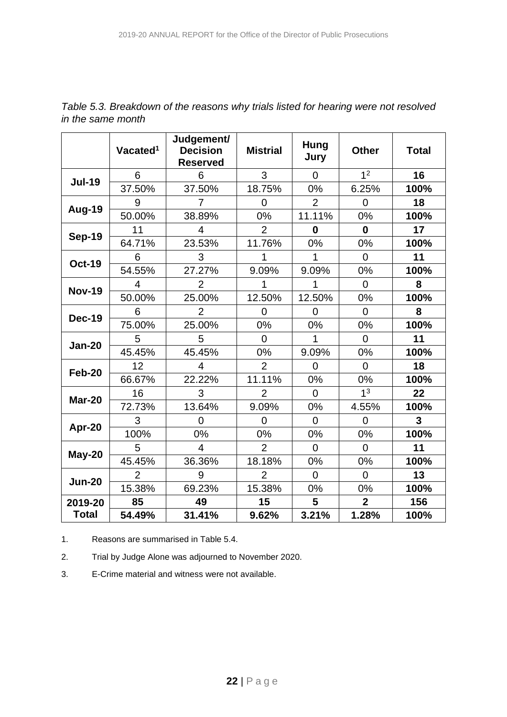|               | Vacated <sup>1</sup> | Judgement/<br><b>Decision</b><br><b>Reserved</b> | <b>Mistrial</b> | Hung<br>Jury   | <b>Other</b>   | <b>Total</b> |
|---------------|----------------------|--------------------------------------------------|-----------------|----------------|----------------|--------------|
|               | 6                    | 6                                                | 3               | $\overline{0}$ | 1 <sup>2</sup> | 16           |
| <b>Jul-19</b> | 37.50%               | 37.50%                                           | 18.75%          | 0%             | 6.25%          | 100%         |
|               | 9                    | 7                                                | $\overline{0}$  | $\overline{2}$ | $\overline{0}$ | 18           |
| Aug-19        | 50.00%               | 38.89%                                           | 0%              | 11.11%         | 0%             | 100%         |
|               | 11                   | 4                                                | $\overline{2}$  | $\bf{0}$       | $\mathbf{0}$   | 17           |
| <b>Sep-19</b> | 64.71%               | 23.53%                                           | 11.76%          | 0%             | 0%             | 100%         |
|               | 6                    | 3                                                | 1               | 1              | $\overline{0}$ | 11           |
| <b>Oct-19</b> | 54.55%               | 27.27%                                           | 9.09%           | 9.09%          | $0\%$          | 100%         |
|               | 4                    | $\overline{2}$                                   | 1               | 1              | $\overline{0}$ | 8            |
| <b>Nov-19</b> | 50.00%               | 25.00%                                           | 12.50%          | 12.50%         | 0%             | 100%         |
| <b>Dec-19</b> | 6                    | $\overline{2}$                                   | $\overline{0}$  | $\overline{0}$ | $\overline{0}$ | 8            |
|               | 75.00%               | 25.00%                                           | 0%              | 0%             | 0%             | 100%         |
| <b>Jan-20</b> | 5                    | 5                                                | $\overline{0}$  | 1              | $\overline{0}$ | 11           |
|               | 45.45%               | 45.45%                                           | 0%              | 9.09%          | 0%             | 100%         |
| <b>Feb-20</b> | 12                   | $\overline{\mathcal{L}}$                         | $\overline{2}$  | $\Omega$       | $\overline{0}$ | 18           |
|               | 66.67%               | 22.22%                                           | 11.11%          | 0%             | 0%             | 100%         |
| <b>Mar-20</b> | 16                   | 3                                                | $\overline{2}$  | $\overline{0}$ | 1 <sup>3</sup> | 22           |
|               | 72.73%               | 13.64%                                           | 9.09%           | 0%             | 4.55%          | 100%         |
| Apr-20        | 3                    | 0                                                | $\overline{0}$  | $\overline{0}$ | $\overline{0}$ | 3            |
|               | 100%                 | 0%                                               | 0%              | 0%             | 0%             | 100%         |
| May-20        | 5                    | 4                                                | $\overline{2}$  | $\overline{0}$ | $\overline{0}$ | 11           |
|               | 45.45%               | 36.36%                                           | 18.18%          | 0%             | 0%             | 100%         |
| <b>Jun-20</b> | $\overline{2}$       | 9                                                | $\overline{2}$  | $\overline{0}$ | $\overline{0}$ | 13           |
|               | 15.38%               | 69.23%                                           | 15.38%          | 0%             | 0%             | 100%         |
| 2019-20       | 85                   | 49                                               | 15              | 5              | $\overline{2}$ | 156          |
| <b>Total</b>  | 54.49%               | 31.41%                                           | 9.62%           | 3.21%          | 1.28%          | 100%         |

*Table 5.3. Breakdown of the reasons why trials listed for hearing were not resolved in the same month*

1. Reasons are summarised in Table 5.4.

2. Trial by Judge Alone was adjourned to November 2020.

3. E-Crime material and witness were not available.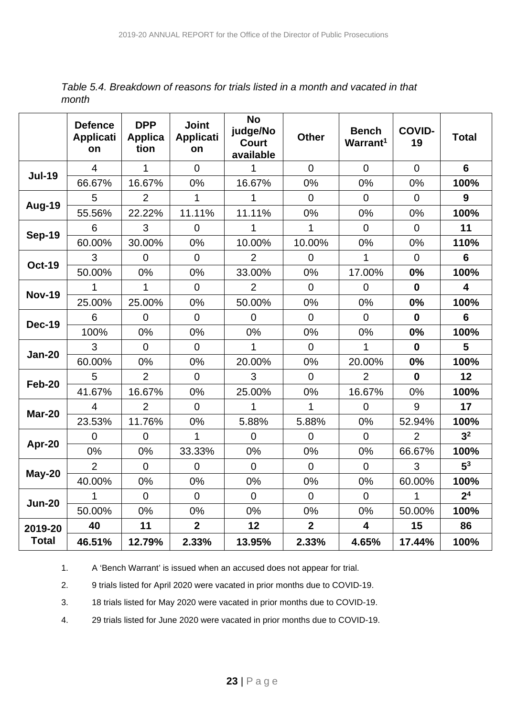*Table 5.4. Breakdown of reasons for trials listed in a month and vacated in that month*

|               | <b>Defence</b><br><b>Applicati</b><br>on | <b>DPP</b><br><b>Applica</b><br>tion | <b>Joint</b><br><b>Applicati</b><br>on | <b>No</b><br>judge/No<br><b>Court</b><br>available | <b>Other</b>   | <b>Bench</b><br>Warrant <sup>1</sup> | <b>COVID-</b><br>19 | <b>Total</b>            |
|---------------|------------------------------------------|--------------------------------------|----------------------------------------|----------------------------------------------------|----------------|--------------------------------------|---------------------|-------------------------|
| <b>Jul-19</b> | $\overline{4}$                           | 1                                    | $\Omega$                               | 1                                                  | $\overline{0}$ | $\overline{0}$                       | $\overline{0}$      | 6                       |
|               | 66.67%                                   | 16.67%                               | 0%                                     | 16.67%                                             | 0%             | 0%                                   | 0%                  | 100%                    |
|               | 5                                        | $\overline{2}$                       | $\overline{1}$                         | 1                                                  | $\overline{0}$ | $\overline{0}$                       | $\overline{0}$      | 9                       |
| Aug-19        | 55.56%                                   | 22.22%                               | 11.11%                                 | 11.11%                                             | 0%             | 0%                                   | 0%                  | 100%                    |
| <b>Sep-19</b> | 6                                        | 3                                    | $\overline{0}$                         | 1                                                  | 1              | $\Omega$                             | $\overline{0}$      | 11                      |
|               | 60.00%                                   | 30.00%                               | 0%                                     | 10.00%                                             | 10.00%         | 0%                                   | 0%                  | 110%                    |
| <b>Oct-19</b> | 3                                        | $\overline{0}$                       | $\overline{0}$                         | $\overline{2}$                                     | $\overline{0}$ | 1                                    | $\overline{0}$      | $6\phantom{1}6$         |
|               | 50.00%                                   | 0%                                   | 0%                                     | 33.00%                                             | 0%             | 17.00%                               | 0%                  | 100%                    |
| <b>Nov-19</b> | 1                                        | 1                                    | $\overline{0}$                         | $\overline{2}$                                     | $\overline{0}$ | $\overline{0}$                       | $\mathbf 0$         | $\overline{\mathbf{4}}$ |
|               | 25.00%                                   | 25.00%                               | 0%                                     | 50.00%                                             | 0%             | 0%                                   | 0%                  | 100%                    |
| <b>Dec-19</b> | 6                                        | $\overline{0}$                       | $\Omega$                               | $\Omega$                                           | $\overline{0}$ | $\Omega$                             | $\mathbf{0}$        | $6\phantom{a}$          |
|               | 100%                                     | 0%                                   | 0%                                     | 0%                                                 | 0%             | 0%                                   | 0%                  | 100%                    |
| <b>Jan-20</b> | 3                                        | $\overline{0}$                       | $\overline{0}$                         | 1                                                  | $\overline{0}$ | 1                                    | $\mathbf 0$         | 5                       |
|               | 60.00%                                   | 0%                                   | 0%                                     | 20.00%                                             | 0%             | 20.00%                               | 0%                  | 100%                    |
| <b>Feb-20</b> | 5                                        | $\overline{2}$                       | $\overline{0}$                         | 3                                                  | $\overline{0}$ | $\overline{2}$                       | $\bf{0}$            | 12                      |
|               | 41.67%                                   | 16.67%                               | 0%                                     | 25.00%                                             | 0%             | 16.67%                               | 0%                  | 100%                    |
| <b>Mar-20</b> | $\overline{4}$                           | $\overline{2}$                       | $\overline{0}$                         | 1                                                  | 1              | $\Omega$                             | 9                   | 17                      |
|               | 23.53%                                   | 11.76%                               | 0%                                     | 5.88%                                              | 5.88%          | 0%                                   | 52.94%              | 100%                    |
|               | $\overline{0}$                           | $\overline{0}$                       | 1                                      | $\overline{0}$                                     | $\overline{0}$ | $\overline{0}$                       | $\overline{2}$      | 3 <sup>2</sup>          |
| Apr-20        | 0%                                       | 0%                                   | 33.33%                                 | 0%                                                 | 0%             | 0%                                   | 66.67%              | 100%                    |
| <b>May-20</b> | $\overline{2}$                           | $\overline{0}$                       | $\overline{0}$                         | $\overline{0}$                                     | $\overline{0}$ | $\overline{0}$                       | 3                   | 5 <sup>3</sup>          |
|               | 40.00%                                   | 0%                                   | 0%                                     | 0%                                                 | 0%             | 0%                                   | 60.00%              | 100%                    |
| <b>Jun-20</b> | 1                                        | $\overline{0}$                       | $\overline{0}$                         | $\overline{0}$                                     | $\overline{0}$ | $\overline{0}$                       | 1                   | 2 <sup>4</sup>          |
|               | 50.00%                                   | 0%                                   | $0\%$                                  | 0%                                                 | 0%             | 0%                                   | 50.00%              | 100%                    |
| 2019-20       | 40                                       | 11                                   | $\overline{2}$                         | 12                                                 | $\overline{2}$ | $\overline{\mathbf{4}}$              | 15                  | 86                      |
| <b>Total</b>  | 46.51%                                   | 12.79%                               | 2.33%                                  | 13.95%                                             | 2.33%          | 4.65%                                | 17.44%              | 100%                    |

1. A 'Bench Warrant' is issued when an accused does not appear for trial.

2. 9 trials listed for April 2020 were vacated in prior months due to COVID-19.

3. 18 trials listed for May 2020 were vacated in prior months due to COVID-19.

4. 29 trials listed for June 2020 were vacated in prior months due to COVID-19.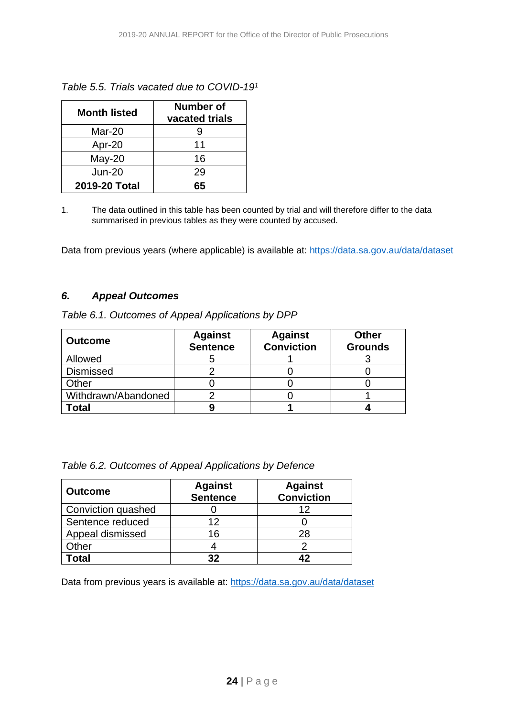| <b>Month listed</b> | Number of<br>vacated trials |
|---------------------|-----------------------------|
| Mar-20              |                             |
| Apr-20              | 11                          |
| $May-20$            | 16                          |
| $Jun-20$            | 29                          |
| 2019-20 Total       | 65                          |

*Table 5.5. Trials vacated due to COVID-191*

1. The data outlined in this table has been counted by trial and will therefore differ to the data summarised in previous tables as they were counted by accused.

Data from previous years (where applicable) is available at:<https://data.sa.gov.au/data/dataset>

#### *6. Appeal Outcomes*

| Table 6.1. Outcomes of Appeal Applications by DPP |  |  |  |  |  |
|---------------------------------------------------|--|--|--|--|--|
|---------------------------------------------------|--|--|--|--|--|

| <b>Outcome</b>      | <b>Against</b><br><b>Sentence</b> | <b>Against</b><br><b>Conviction</b> | <b>Other</b><br><b>Grounds</b> |
|---------------------|-----------------------------------|-------------------------------------|--------------------------------|
| Allowed             |                                   |                                     |                                |
| <b>Dismissed</b>    |                                   |                                     |                                |
| Other               |                                   |                                     |                                |
| Withdrawn/Abandoned |                                   |                                     |                                |
| Γotal               |                                   |                                     |                                |

|  |  |  | Table 6.2. Outcomes of Appeal Applications by Defence |  |
|--|--|--|-------------------------------------------------------|--|
|--|--|--|-------------------------------------------------------|--|

| <b>Outcome</b>     | <b>Against</b><br><b>Sentence</b> | <b>Against</b><br><b>Conviction</b> |
|--------------------|-----------------------------------|-------------------------------------|
| Conviction quashed |                                   | 12                                  |
| Sentence reduced   | 12                                |                                     |
| Appeal dismissed   | 16                                | 28                                  |
| Other              |                                   |                                     |
| <b>otal</b>        | ??                                |                                     |

Data from previous years is available at:<https://data.sa.gov.au/data/dataset>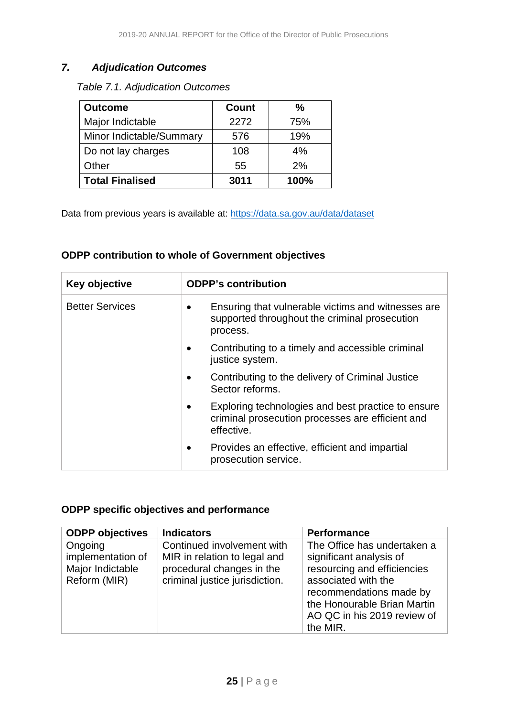#### *7. Adjudication Outcomes*

*Table 7.1. Adjudication Outcomes* 

| <b>Outcome</b>           | <b>Count</b> | ℅    |
|--------------------------|--------------|------|
| Major Indictable         | 2272         | 75%  |
| Minor Indictable/Summary | 576          | 19%  |
| Do not lay charges       | 108          | 4%   |
| Other                    | 55           | 2%   |
| <b>Total Finalised</b>   | 3011         | 100% |

Data from previous years is available at:<https://data.sa.gov.au/data/dataset>

#### <span id="page-24-0"></span>**ODPP contribution to whole of Government objectives**

| Key objective          | <b>ODPP's contribution</b>                                                                                           |
|------------------------|----------------------------------------------------------------------------------------------------------------------|
| <b>Better Services</b> | Ensuring that vulnerable victims and witnesses are<br>supported throughout the criminal prosecution<br>process.      |
|                        | Contributing to a timely and accessible criminal<br>justice system.                                                  |
|                        | Contributing to the delivery of Criminal Justice<br>Sector reforms.                                                  |
|                        | Exploring technologies and best practice to ensure<br>criminal prosecution processes are efficient and<br>effective. |
|                        | Provides an effective, efficient and impartial<br>prosecution service.                                               |

#### <span id="page-24-1"></span>**ODPP specific objectives and performance**

| <b>ODPP</b> objectives                                           | <b>Indicators</b>                                                                                                         | <b>Performance</b>                                                                                                                                                                                    |
|------------------------------------------------------------------|---------------------------------------------------------------------------------------------------------------------------|-------------------------------------------------------------------------------------------------------------------------------------------------------------------------------------------------------|
| Ongoing<br>implementation of<br>Major Indictable<br>Reform (MIR) | Continued involvement with<br>MIR in relation to legal and<br>procedural changes in the<br>criminal justice jurisdiction. | The Office has undertaken a<br>significant analysis of<br>resourcing and efficiencies<br>associated with the<br>recommendations made by<br>the Honourable Brian Martin<br>AO QC in his 2019 review of |
|                                                                  |                                                                                                                           | the MIR.                                                                                                                                                                                              |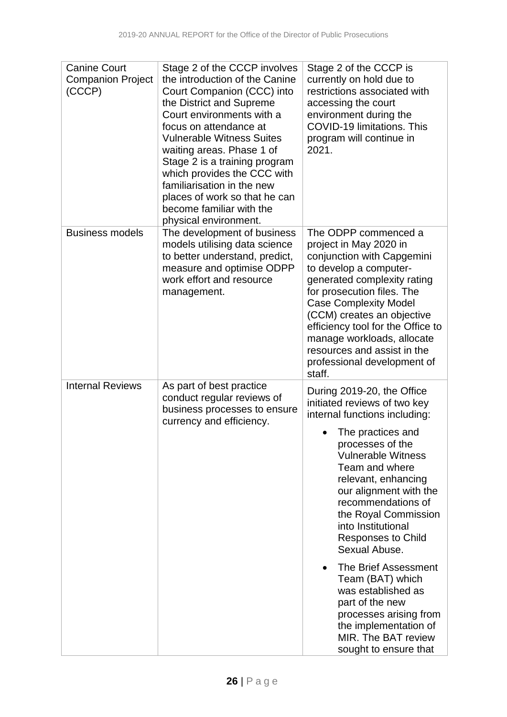| <b>Canine Court</b><br><b>Companion Project</b><br>(CCCP) | Stage 2 of the CCCP involves<br>the introduction of the Canine<br>Court Companion (CCC) into<br>the District and Supreme<br>Court environments with a<br>focus on attendance at<br><b>Vulnerable Witness Suites</b><br>waiting areas. Phase 1 of<br>Stage 2 is a training program<br>which provides the CCC with<br>familiarisation in the new<br>places of work so that he can<br>become familiar with the<br>physical environment. | Stage 2 of the CCCP is<br>currently on hold due to<br>restrictions associated with<br>accessing the court<br>environment during the<br><b>COVID-19 limitations. This</b><br>program will continue in<br>2021.                                                                                                                                                                                                                                                                                                                                         |
|-----------------------------------------------------------|--------------------------------------------------------------------------------------------------------------------------------------------------------------------------------------------------------------------------------------------------------------------------------------------------------------------------------------------------------------------------------------------------------------------------------------|-------------------------------------------------------------------------------------------------------------------------------------------------------------------------------------------------------------------------------------------------------------------------------------------------------------------------------------------------------------------------------------------------------------------------------------------------------------------------------------------------------------------------------------------------------|
| <b>Business models</b>                                    | The development of business<br>models utilising data science<br>to better understand, predict,<br>measure and optimise ODPP<br>work effort and resource<br>management.                                                                                                                                                                                                                                                               | The ODPP commenced a<br>project in May 2020 in<br>conjunction with Capgemini<br>to develop a computer-<br>generated complexity rating<br>for prosecution files. The<br><b>Case Complexity Model</b><br>(CCM) creates an objective<br>efficiency tool for the Office to<br>manage workloads, allocate<br>resources and assist in the<br>professional development of<br>staff.                                                                                                                                                                          |
| <b>Internal Reviews</b>                                   | As part of best practice<br>conduct regular reviews of<br>business processes to ensure<br>currency and efficiency.                                                                                                                                                                                                                                                                                                                   | During 2019-20, the Office<br>initiated reviews of two key<br>internal functions including:<br>The practices and<br>processes of the<br><b>Vulnerable Witness</b><br>Team and where<br>relevant, enhancing<br>our alignment with the<br>recommendations of<br>the Royal Commission<br>into Institutional<br><b>Responses to Child</b><br>Sexual Abuse.<br><b>The Brief Assessment</b><br>Team (BAT) which<br>was established as<br>part of the new<br>processes arising from<br>the implementation of<br>MIR. The BAT review<br>sought to ensure that |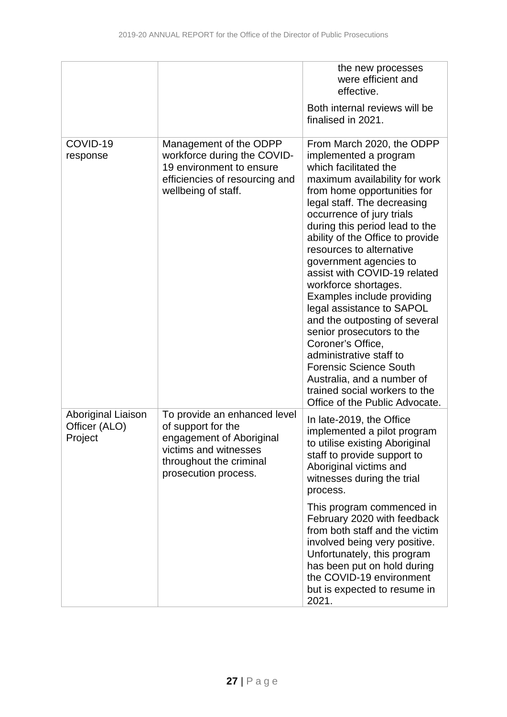|                                                |                                                                                                                                                            | the new processes<br>were efficient and<br>effective.<br>Both internal reviews will be<br>finalised in 2021.                                                                                                                                                                                                                                                                                                                                                                                                                                                                                                                                                                                           |
|------------------------------------------------|------------------------------------------------------------------------------------------------------------------------------------------------------------|--------------------------------------------------------------------------------------------------------------------------------------------------------------------------------------------------------------------------------------------------------------------------------------------------------------------------------------------------------------------------------------------------------------------------------------------------------------------------------------------------------------------------------------------------------------------------------------------------------------------------------------------------------------------------------------------------------|
| COVID-19<br>response                           | Management of the ODPP<br>workforce during the COVID-<br>19 environment to ensure<br>efficiencies of resourcing and<br>wellbeing of staff.                 | From March 2020, the ODPP<br>implemented a program<br>which facilitated the<br>maximum availability for work<br>from home opportunities for<br>legal staff. The decreasing<br>occurrence of jury trials<br>during this period lead to the<br>ability of the Office to provide<br>resources to alternative<br>government agencies to<br>assist with COVID-19 related<br>workforce shortages.<br>Examples include providing<br>legal assistance to SAPOL<br>and the outposting of several<br>senior prosecutors to the<br>Coroner's Office,<br>administrative staff to<br><b>Forensic Science South</b><br>Australia, and a number of<br>trained social workers to the<br>Office of the Public Advocate. |
| Aboriginal Liaison<br>Officer (ALO)<br>Project | To provide an enhanced level<br>of support for the<br>engagement of Aboriginal<br>victims and witnesses<br>throughout the criminal<br>prosecution process. | In late-2019, the Office<br>implemented a pilot program<br>to utilise existing Aboriginal<br>staff to provide support to<br>Aboriginal victims and<br>witnesses during the trial<br>process.                                                                                                                                                                                                                                                                                                                                                                                                                                                                                                           |
|                                                |                                                                                                                                                            | This program commenced in<br>February 2020 with feedback<br>from both staff and the victim<br>involved being very positive.<br>Unfortunately, this program<br>has been put on hold during<br>the COVID-19 environment<br>but is expected to resume in<br>2021.                                                                                                                                                                                                                                                                                                                                                                                                                                         |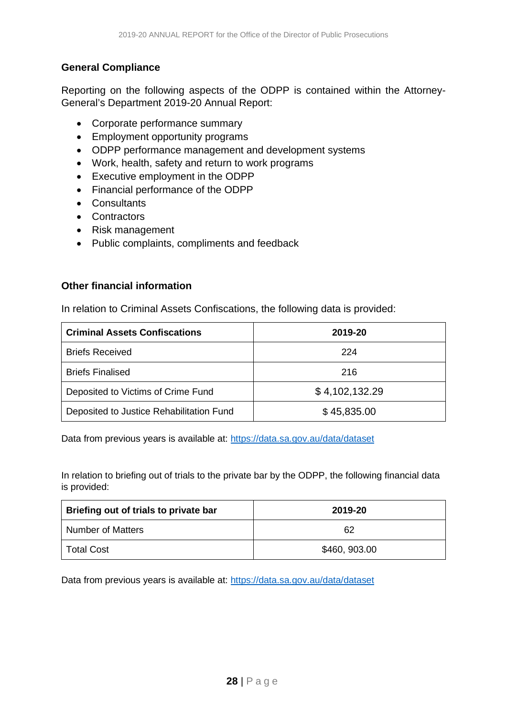#### <span id="page-27-0"></span>**General Compliance**

Reporting on the following aspects of the ODPP is contained within the Attorney-General's Department 2019-20 Annual Report:

- Corporate performance summary
- Employment opportunity programs
- ODPP performance management and development systems
- Work, health, safety and return to work programs
- Executive employment in the ODPP
- Financial performance of the ODPP
- Consultants
- Contractors
- Risk management
- Public complaints, compliments and feedback

#### <span id="page-27-1"></span>**Other financial information**

In relation to Criminal Assets Confiscations, the following data is provided:

| <b>Criminal Assets Confiscations</b>     | 2019-20        |
|------------------------------------------|----------------|
| <b>Briefs Received</b>                   | 224            |
| <b>Briefs Finalised</b>                  | 216            |
| Deposited to Victims of Crime Fund       | \$4,102,132.29 |
| Deposited to Justice Rehabilitation Fund | \$45,835.00    |

Data from previous years is available at:<https://data.sa.gov.au/data/dataset>

In relation to briefing out of trials to the private bar by the ODPP, the following financial data is provided:

| Briefing out of trials to private bar | 2019-20       |
|---------------------------------------|---------------|
| <b>Number of Matters</b>              | 62            |
| <b>Total Cost</b>                     | \$460, 903.00 |

Data from previous years is available at:<https://data.sa.gov.au/data/dataset>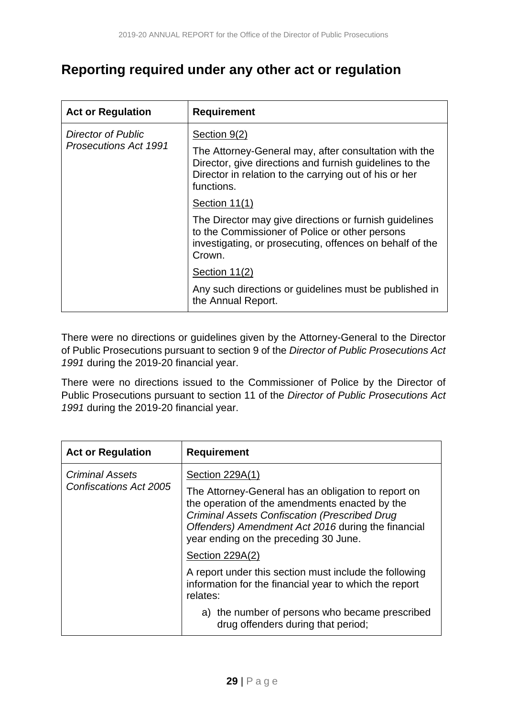## <span id="page-28-0"></span>**Reporting required under any other act or regulation**

| <b>Act or Regulation</b>     | <b>Requirement</b>                                                                                                                                                                       |
|------------------------------|------------------------------------------------------------------------------------------------------------------------------------------------------------------------------------------|
| <b>Director of Public</b>    | Section 9(2)                                                                                                                                                                             |
| <b>Prosecutions Act 1991</b> | The Attorney-General may, after consultation with the<br>Director, give directions and furnish guidelines to the<br>Director in relation to the carrying out of his or her<br>functions. |
|                              | Section 11(1)                                                                                                                                                                            |
|                              | The Director may give directions or furnish guidelines<br>to the Commissioner of Police or other persons<br>investigating, or prosecuting, offences on behalf of the<br>Crown.           |
|                              | Section 11(2)                                                                                                                                                                            |
|                              | Any such directions or guidelines must be published in<br>the Annual Report.                                                                                                             |

There were no directions or guidelines given by the Attorney-General to the Director of Public Prosecutions pursuant to section 9 of the *Director of Public Prosecutions Act 1991* during the 2019-20 financial year.

There were no directions issued to the Commissioner of Police by the Director of Public Prosecutions pursuant to section 11 of the *Director of Public Prosecutions Act 1991* during the 2019-20 financial year.

| <b>Act or Regulation</b>                         | <b>Requirement</b>                                                                                                                                                                                                                                           |
|--------------------------------------------------|--------------------------------------------------------------------------------------------------------------------------------------------------------------------------------------------------------------------------------------------------------------|
| <b>Criminal Assets</b><br>Confiscations Act 2005 | Section 229A(1)                                                                                                                                                                                                                                              |
|                                                  | The Attorney-General has an obligation to report on<br>the operation of the amendments enacted by the<br><b>Criminal Assets Confiscation (Prescribed Drug</b><br>Offenders) Amendment Act 2016 during the financial<br>year ending on the preceding 30 June. |
|                                                  | Section 229A(2)                                                                                                                                                                                                                                              |
|                                                  | A report under this section must include the following<br>information for the financial year to which the report<br>relates:                                                                                                                                 |
|                                                  | a) the number of persons who became prescribed<br>drug offenders during that period;                                                                                                                                                                         |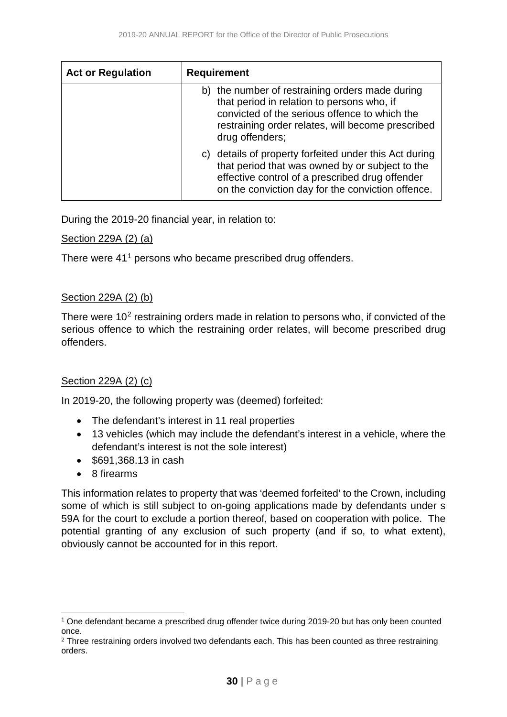| <b>Act or Regulation</b> | <b>Requirement</b>                                                                                                                                                                                                     |
|--------------------------|------------------------------------------------------------------------------------------------------------------------------------------------------------------------------------------------------------------------|
|                          | b) the number of restraining orders made during<br>that period in relation to persons who, if<br>convicted of the serious offence to which the<br>restraining order relates, will become prescribed<br>drug offenders; |
|                          | details of property forfeited under this Act during<br>C)<br>that period that was owned by or subject to the<br>effective control of a prescribed drug offender<br>on the conviction day for the conviction offence.   |

During the 2019-20 financial year, in relation to:

#### Section 229A (2) (a)

There were 4[1](#page-29-0)<sup>1</sup> persons who became prescribed drug offenders.

#### Section 229A (2) (b)

There were 10<sup>[2](#page-29-1)</sup> restraining orders made in relation to persons who, if convicted of the serious offence to which the restraining order relates, will become prescribed drug offenders.

#### Section 229A (2) (c)

In 2019-20, the following property was (deemed) forfeited:

- The defendant's interest in 11 real properties
- 13 vehicles (which may include the defendant's interest in a vehicle, where the defendant's interest is not the sole interest)
- \$691,368.13 in cash
- 8 firearms

This information relates to property that was 'deemed forfeited' to the Crown, including some of which is still subject to on-going applications made by defendants under s 59A for the court to exclude a portion thereof, based on cooperation with police. The potential granting of any exclusion of such property (and if so, to what extent), obviously cannot be accounted for in this report.

<span id="page-29-0"></span><sup>1</sup> One defendant became a prescribed drug offender twice during 2019-20 but has only been counted once.

<span id="page-29-1"></span><sup>&</sup>lt;sup>2</sup> Three restraining orders involved two defendants each. This has been counted as three restraining orders.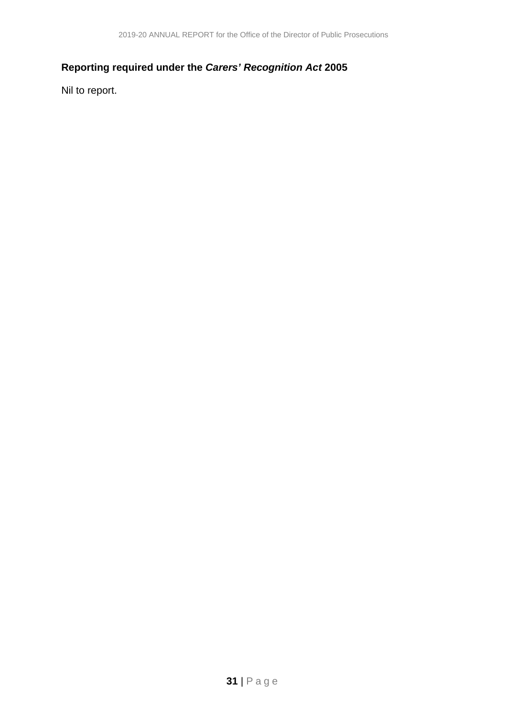### <span id="page-30-0"></span>**Reporting required under the** *Carers' Recognition Act* **2005**

Nil to report.